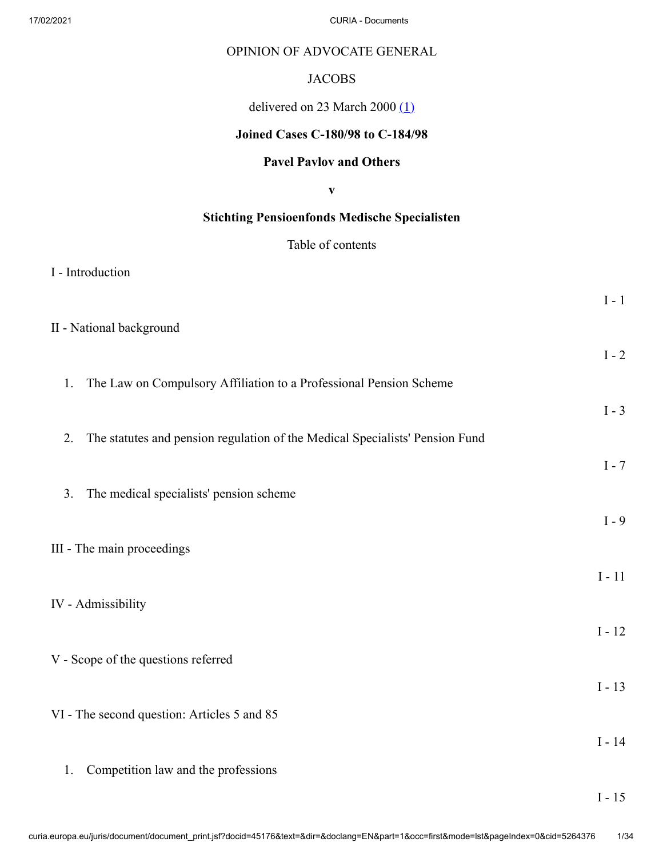### OPINION OF ADVOCATE GENERAL

## <span id="page-0-0"></span>**JACOBS**

## delivered on 23 March 2000  $(1)$

# **Joined Cases C-180/98 to C-184/98**

# **Pavel Pavlov and Others**

**v**

# **Stichting Pensioenfonds Medische Specialisten**

# Table of contents

I - Introduction

| II - National background                                                           | $I - 1$  |
|------------------------------------------------------------------------------------|----------|
|                                                                                    | $I - 2$  |
| The Law on Compulsory Affiliation to a Professional Pension Scheme<br>1.           |          |
|                                                                                    | $I - 3$  |
| The statutes and pension regulation of the Medical Specialists' Pension Fund<br>2. | $I - 7$  |
| The medical specialists' pension scheme<br>3.                                      |          |
|                                                                                    | $I - 9$  |
| III - The main proceedings                                                         | $I - 11$ |
| IV - Admissibility                                                                 |          |
|                                                                                    | $I - 12$ |
| V - Scope of the questions referred                                                |          |
| VI - The second question: Articles 5 and 85                                        | $I - 13$ |
|                                                                                    | $I - 14$ |
| Competition law and the professions<br>1.                                          |          |

I - 15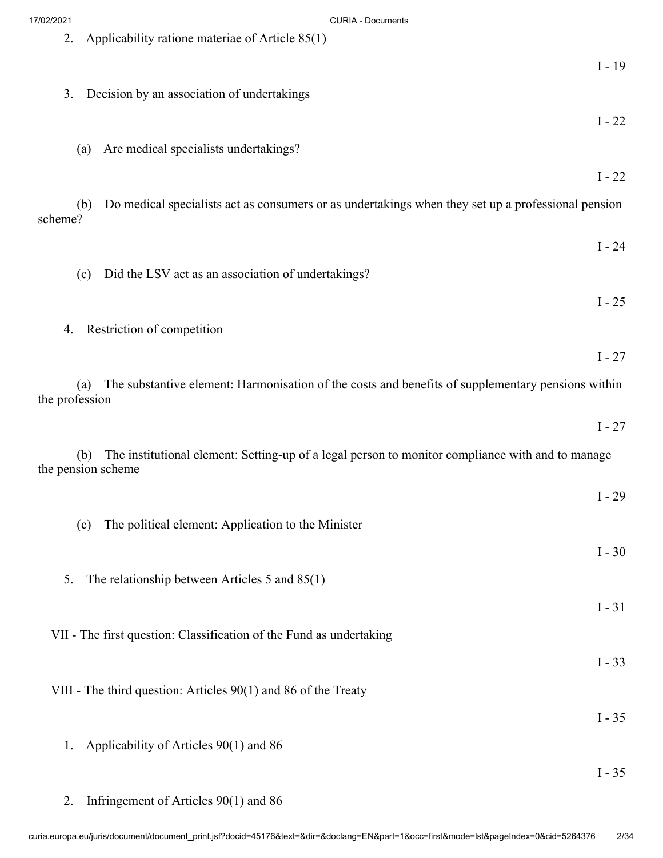| 17/02/2021     | <b>CURIA - Documents</b>                                                                                  |
|----------------|-----------------------------------------------------------------------------------------------------------|
| 2.             | Applicability ratione materiae of Article 85(1)                                                           |
|                | $I - 19$                                                                                                  |
|                |                                                                                                           |
| 3.             | Decision by an association of undertakings                                                                |
|                | $I - 22$                                                                                                  |
|                | Are medical specialists undertakings?<br>(a)                                                              |
|                |                                                                                                           |
|                | $I - 22$                                                                                                  |
|                | Do medical specialists act as consumers or as undertakings when they set up a professional pension<br>(b) |
| scheme?        |                                                                                                           |
|                | $I - 24$                                                                                                  |
|                | Did the LSV act as an association of undertakings?<br>(c)                                                 |
|                |                                                                                                           |
|                | $I - 25$                                                                                                  |
|                | 4. Restriction of competition                                                                             |
|                | $I - 27$                                                                                                  |
|                |                                                                                                           |
| the profession | (a) The substantive element: Harmonisation of the costs and benefits of supplementary pensions within     |
|                |                                                                                                           |
|                | $I - 27$                                                                                                  |
|                | The institutional element: Setting-up of a legal person to monitor compliance with and to manage<br>(b)   |
|                | the pension scheme                                                                                        |
|                | $I - 29$                                                                                                  |
|                |                                                                                                           |
|                | The political element: Application to the Minister<br>(c)                                                 |
|                | $I - 30$                                                                                                  |
| 5.             | The relationship between Articles 5 and $85(1)$                                                           |
|                |                                                                                                           |
|                | $I - 31$                                                                                                  |
|                | VII - The first question: Classification of the Fund as undertaking                                       |
|                | $I - 33$                                                                                                  |
|                |                                                                                                           |
|                | VIII - The third question: Articles 90(1) and 86 of the Treaty                                            |
|                | $I - 35$                                                                                                  |
| 1.             | Applicability of Articles 90(1) and 86                                                                    |
|                |                                                                                                           |
|                | $\rm I$ - $35$                                                                                            |

2. Infringement of Articles 90(1) and 86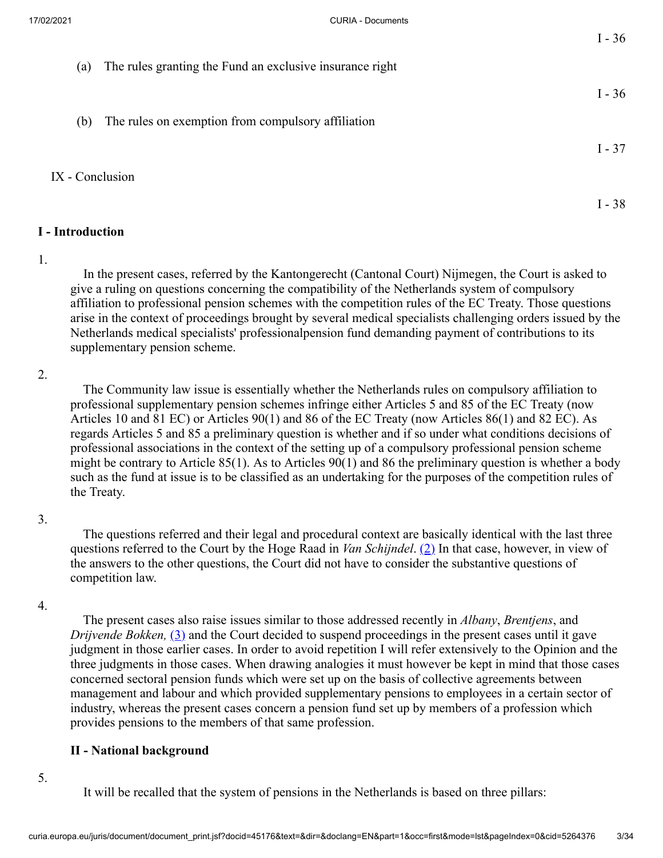I - 36

I - 37

I - 38

- (a) The rules granting the Fund an exclusive insurance right
- (b) The rules on exemption from compulsory affiliation

#### IX - Conclusion

#### **I - Introduction**

#### 1.

 In the present cases, referred by the Kantongerecht (Cantonal Court) Nijmegen, the Court is asked to give a ruling on questions concerning the compatibility of the Netherlands system of compulsory affiliation to professional pension schemes with the competition rules of the EC Treaty. Those questions arise in the context of proceedings brought by several medical specialists challenging orders issued by the Netherlands medical specialists' professionalpension fund demanding payment of contributions to its supplementary pension scheme.

### 2.

 The Community law issue is essentially whether the Netherlands rules on compulsory affiliation to professional supplementary pension schemes infringe either Articles 5 and 85 of the EC Treaty (now Articles 10 and 81 EC) or Articles 90(1) and 86 of the EC Treaty (now Articles 86(1) and 82 EC). As regards Articles 5 and 85 a preliminary question is whether and if so under what conditions decisions of professional associations in the context of the setting up of a compulsory professional pension scheme might be contrary to Article  $85(1)$ . As to Articles  $90(1)$  and 86 the preliminary question is whether a body such as the fund at issue is to be classified as an undertaking for the purposes of the competition rules of the Treaty.

#### 3.

<span id="page-2-0"></span> The questions referred and their legal and procedural context are basically identical with the last three questions referred to the Court by the Hoge Raad in *Van Schijndel*. [\(2\)](#page-27-1) In that case, however, in view of the answers to the other questions, the Court did not have to consider the substantive questions of competition law.

#### 4.

<span id="page-2-1"></span> The present cases also raise issues similar to those addressed recently in *Albany*, *Brentjens*, and *Drijvende Bokken,* [\(3\)](#page-27-2) and the Court decided to suspend proceedings in the present cases until it gave judgment in those earlier cases. In order to avoid repetition I will refer extensively to the Opinion and the three judgments in those cases. When drawing analogies it must however be kept in mind that those cases concerned sectoral pension funds which were set up on the basis of collective agreements between management and labour and which provided supplementary pensions to employees in a certain sector of industry, whereas the present cases concern a pension fund set up by members of a profession which provides pensions to the members of that same profession.

### **II - National background**

5.

It will be recalled that the system of pensions in the Netherlands is based on three pillars: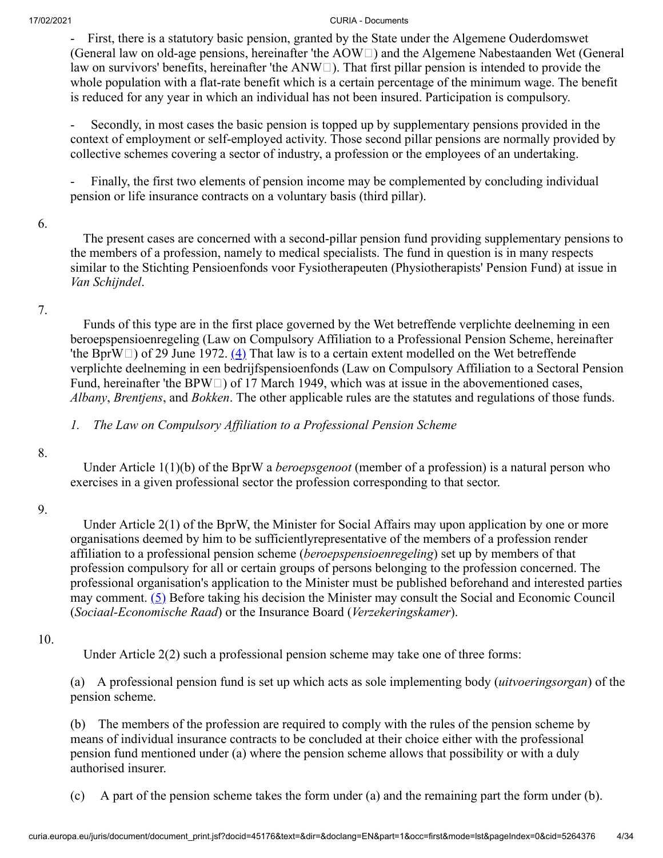- First, there is a statutory basic pension, granted by the State under the Algemene Ouderdomswet (General law on old-age pensions, hereinafter 'the  $AOW\Box$ ) and the Algemene Nabestaanden Wet (General law on survivors' benefits, hereinafter 'the  $ANW\Box$ ). That first pillar pension is intended to provide the whole population with a flat-rate benefit which is a certain percentage of the minimum wage. The benefit is reduced for any year in which an individual has not been insured. Participation is compulsory.

Secondly, in most cases the basic pension is topped up by supplementary pensions provided in the context of employment or self-employed activity. Those second pillar pensions are normally provided by collective schemes covering a sector of industry, a profession or the employees of an undertaking.

Finally, the first two elements of pension income may be complemented by concluding individual pension or life insurance contracts on a voluntary basis (third pillar).

### 6.

 The present cases are concerned with a second-pillar pension fund providing supplementary pensions to the members of a profession, namely to medical specialists. The fund in question is in many respects similar to the Stichting Pensioenfonds voor Fysiotherapeuten (Physiotherapists' Pension Fund) at issue in *Van Schijndel*.

# 7.

<span id="page-3-0"></span> Funds of this type are in the first place governed by the Wet betreffende verplichte deelneming in een beroepspensioenregeling (Law on Compulsory Affiliation to a Professional Pension Scheme, hereinafter 'the BprW $\Box$ ) of 29 June 1972. [\(4\)](#page-27-3) That law is to a certain extent modelled on the Wet betreffende verplichte deelneming in een bedrijfspensioenfonds (Law on Compulsory Affiliation to a Sectoral Pension Fund, hereinafter 'the BPW $\Box$ ) of 17 March 1949, which was at issue in the abovementioned cases, *Albany*, *Brentjens*, and *Bokken*. The other applicable rules are the statutes and regulations of those funds.

*1. The Law on Compulsory Affiliation to a Professional Pension Scheme*

## 8.

 Under Article 1(1)(b) of the BprW a *beroepsgenoot* (member of a profession) is a natural person who exercises in a given professional sector the profession corresponding to that sector.

## 9.

 Under Article 2(1) of the BprW, the Minister for Social Affairs may upon application by one or more organisations deemed by him to be sufficientlyrepresentative of the members of a profession render affiliation to a professional pension scheme (*beroepspensioenregeling*) set up by members of that profession compulsory for all or certain groups of persons belonging to the profession concerned. The professional organisation's application to the Minister must be published beforehand and interested parties may comment.  $(5)$  Before taking his decision the Minister may consult the Social and Economic Council (*Sociaal-Economische Raad*) or the Insurance Board (*Verzekeringskamer*).

## 10.

<span id="page-3-1"></span>Under Article 2(2) such a professional pension scheme may take one of three forms:

(a) A professional pension fund is set up which acts as sole implementing body (*uitvoeringsorgan*) of the pension scheme.

(b) The members of the profession are required to comply with the rules of the pension scheme by means of individual insurance contracts to be concluded at their choice either with the professional pension fund mentioned under (a) where the pension scheme allows that possibility or with a duly authorised insurer.

(c) A part of the pension scheme takes the form under (a) and the remaining part the form under (b).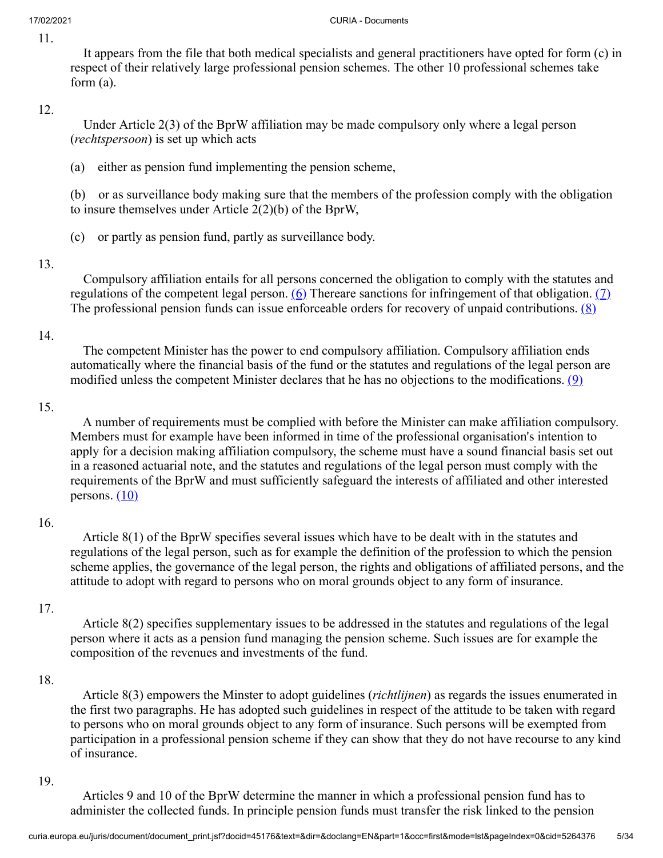11.

 It appears from the file that both medical specialists and general practitioners have opted for form (c) in respect of their relatively large professional pension schemes. The other 10 professional schemes take form (a).

### 12.

 Under Article 2(3) of the BprW affiliation may be made compulsory only where a legal person (*rechtspersoon*) is set up which acts

(a) either as pension fund implementing the pension scheme,

(b) or as surveillance body making sure that the members of the profession comply with the obligation to insure themselves under Article 2(2)(b) of the BprW,

(c) or partly as pension fund, partly as surveillance body.

## 13.

<span id="page-4-2"></span><span id="page-4-1"></span><span id="page-4-0"></span> Compulsory affiliation entails for all persons concerned the obligation to comply with the statutes and regulations of the competent legal person.  $(6)$  Thereare sanctions for infringement of that obligation.  $(7)$ The professional pension funds can issue enforceable orders for recovery of unpaid contributions.  $(8)$ 

## 14.

<span id="page-4-3"></span> The competent Minister has the power to end compulsory affiliation. Compulsory affiliation ends automatically where the financial basis of the fund or the statutes and regulations of the legal person are modified unless the competent Minister declares that he has no objections to the modifications.  $(9)$ 

### 15.

 A number of requirements must be complied with before the Minister can make affiliation compulsory. Members must for example have been informed in time of the professional organisation's intention to apply for a decision making affiliation compulsory, the scheme must have a sound financial basis set out in a reasoned actuarial note, and the statutes and regulations of the legal person must comply with the requirements of the BprW and must sufficiently safeguard the interests of affiliated and other interested persons.  $(10)$ 

### 16.

<span id="page-4-4"></span> Article 8(1) of the BprW specifies several issues which have to be dealt with in the statutes and regulations of the legal person, such as for example the definition of the profession to which the pension scheme applies, the governance of the legal person, the rights and obligations of affiliated persons, and the attitude to adopt with regard to persons who on moral grounds object to any form of insurance.

## 17.

 Article 8(2) specifies supplementary issues to be addressed in the statutes and regulations of the legal person where it acts as a pension fund managing the pension scheme. Such issues are for example the composition of the revenues and investments of the fund.

### 18.

 Article 8(3) empowers the Minster to adopt guidelines (*richtlijnen*) as regards the issues enumerated in the first two paragraphs. He has adopted such guidelines in respect of the attitude to be taken with regard to persons who on moral grounds object to any form of insurance. Such persons will be exempted from participation in a professional pension scheme if they can show that they do not have recourse to any kind of insurance.

### 19.

 Articles 9 and 10 of the BprW determine the manner in which a professional pension fund has to administer the collected funds. In principle pension funds must transfer the risk linked to the pension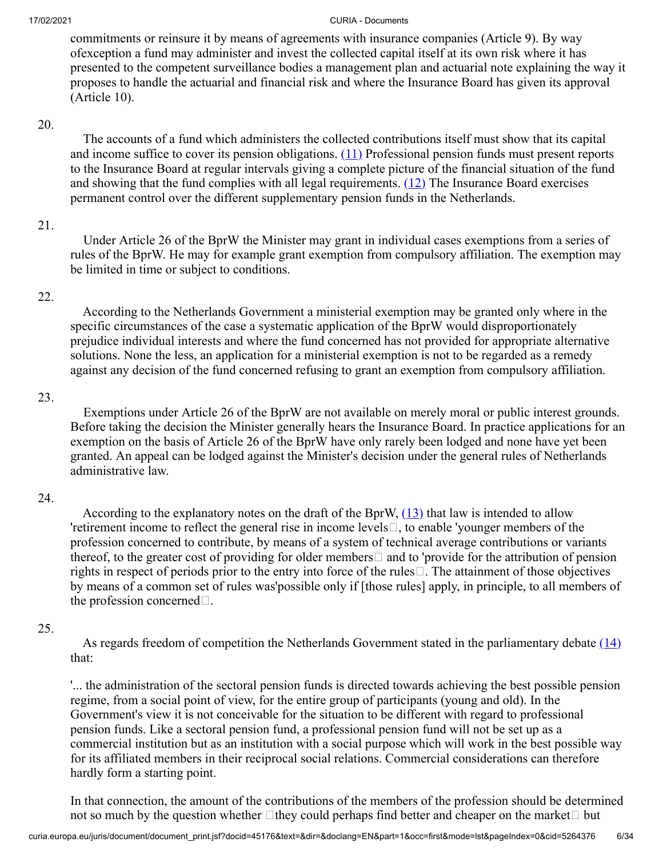commitments or reinsure it by means of agreements with insurance companies (Article 9). By way ofexception a fund may administer and invest the collected capital itself at its own risk where it has presented to the competent surveillance bodies a management plan and actuarial note explaining the way it proposes to handle the actuarial and financial risk and where the Insurance Board has given its approval (Article 10).

### 20.

<span id="page-5-1"></span><span id="page-5-0"></span> The accounts of a fund which administers the collected contributions itself must show that its capital and income suffice to cover its pension obligations. [\(11\)](#page-28-5) Professional pension funds must present reports to the Insurance Board at regular intervals giving a complete picture of the financial situation of the fund and showing that the fund complies with all legal requirements.  $(12)$  The Insurance Board exercises permanent control over the different supplementary pension funds in the Netherlands.

### 21.

 Under Article 26 of the BprW the Minister may grant in individual cases exemptions from a series of rules of the BprW. He may for example grant exemption from compulsory affiliation. The exemption may be limited in time or subject to conditions.

### 22.

 According to the Netherlands Government a ministerial exemption may be granted only where in the specific circumstances of the case a systematic application of the BprW would disproportionately prejudice individual interests and where the fund concerned has not provided for appropriate alternative solutions. None the less, an application for a ministerial exemption is not to be regarded as a remedy against any decision of the fund concerned refusing to grant an exemption from compulsory affiliation.

### 23.

 Exemptions under Article 26 of the BprW are not available on merely moral or public interest grounds. Before taking the decision the Minister generally hears the Insurance Board. In practice applications for an exemption on the basis of Article 26 of the BprW have only rarely been lodged and none have yet been granted. An appeal can be lodged against the Minister's decision under the general rules of Netherlands administrative law.

## 24.

<span id="page-5-2"></span>According to the explanatory notes on the draft of the BprW,  $(13)$  that law is intended to allow 'retirement income to reflect the general rise in income levels $\Box$ , to enable 'younger members of the profession concerned to contribute, by means of a system of technical average contributions or variants thereof, to the greater cost of providing for older members  $\Box$  and to 'provide for the attribution of pension rights in respect of periods prior to the entry into force of the rules $\Box$ . The attainment of those objectives by means of a common set of rules was'possible only if [those rules] apply, in principle, to all members of the profession concerned $\square$ .

## 25.

<span id="page-5-3"></span>As regards freedom of competition the Netherlands Government stated in the parliamentary debate  $(14)$ that:

'... the administration of the sectoral pension funds is directed towards achieving the best possible pension regime, from a social point of view, for the entire group of participants (young and old). In the Government's view it is not conceivable for the situation to be different with regard to professional pension funds. Like a sectoral pension fund, a professional pension fund will not be set up as a commercial institution but as an institution with a social purpose which will work in the best possible way for its affiliated members in their reciprocal social relations. Commercial considerations can therefore hardly form a starting point.

In that connection, the amount of the contributions of the members of the profession should be determined not so much by the question whether  $\Box$ they could perhaps find better and cheaper on the market  $\Box$  but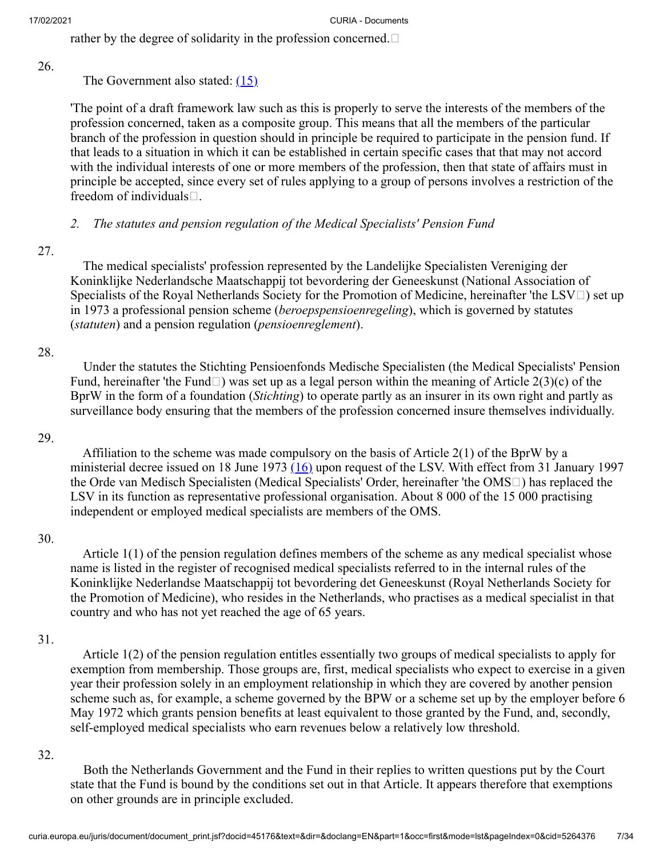rather by the degree of solidarity in the profession concerned.  $\Box$ 

26.

# <span id="page-6-0"></span>The Government also stated: [\(15\)](#page-28-9)

'The point of a draft framework law such as this is properly to serve the interests of the members of the profession concerned, taken as a composite group. This means that all the members of the particular branch of the profession in question should in principle be required to participate in the pension fund. If that leads to a situation in which it can be established in certain specific cases that that may not accord with the individual interests of one or more members of the profession, then that state of affairs must in principle be accepted, since every set of rules applying to a group of persons involves a restriction of the freedom of individuals $\square$ .

# *2. The statutes and pension regulation of the Medical Specialists' Pension Fund*

# 27.

 The medical specialists' profession represented by the Landelijke Specialisten Vereniging der Koninklijke Nederlandsche Maatschappij tot bevordering der Geneeskunst (National Association of Specialists of the Royal Netherlands Society for the Promotion of Medicine, hereinafter 'the LSV $\Box$ ) set up in 1973 a professional pension scheme (*beroepspensioenregeling*), which is governed by statutes (*statuten*) and a pension regulation (*pensioenreglement*).

# 28.

 Under the statutes the Stichting Pensioenfonds Medische Specialisten (the Medical Specialists' Pension Fund, hereinafter 'the Fund  $\Box$ ) was set up as a legal person within the meaning of Article 2(3)(c) of the BprW in the form of a foundation (*Stichting*) to operate partly as an insurer in its own right and partly as surveillance body ensuring that the members of the profession concerned insure themselves individually.

## 29.

<span id="page-6-1"></span> Affiliation to the scheme was made compulsory on the basis of Article 2(1) of the BprW by a ministerial decree issued on 18 June 1973  $(16)$  upon request of the LSV. With effect from 31 January 1997 the Orde van Medisch Specialisten (Medical Specialists' Order, hereinafter 'the OMS<sup>I</sup>) has replaced the LSV in its function as representative professional organisation. About 8 000 of the 15 000 practising independent or employed medical specialists are members of the OMS.

## 30.

 Article 1(1) of the pension regulation defines members of the scheme as any medical specialist whose name is listed in the register of recognised medical specialists referred to in the internal rules of the Koninklijke Nederlandse Maatschappij tot bevordering det Geneeskunst (Royal Netherlands Society for the Promotion of Medicine), who resides in the Netherlands, who practises as a medical specialist in that country and who has not yet reached the age of 65 years.

## 31.

 Article 1(2) of the pension regulation entitles essentially two groups of medical specialists to apply for exemption from membership. Those groups are, first, medical specialists who expect to exercise in a given year their profession solely in an employment relationship in which they are covered by another pension scheme such as, for example, a scheme governed by the BPW or a scheme set up by the employer before 6 May 1972 which grants pension benefits at least equivalent to those granted by the Fund, and, secondly, self-employed medical specialists who earn revenues below a relatively low threshold.

## 32.

 Both the Netherlands Government and the Fund in their replies to written questions put by the Court state that the Fund is bound by the conditions set out in that Article. It appears therefore that exemptions on other grounds are in principle excluded.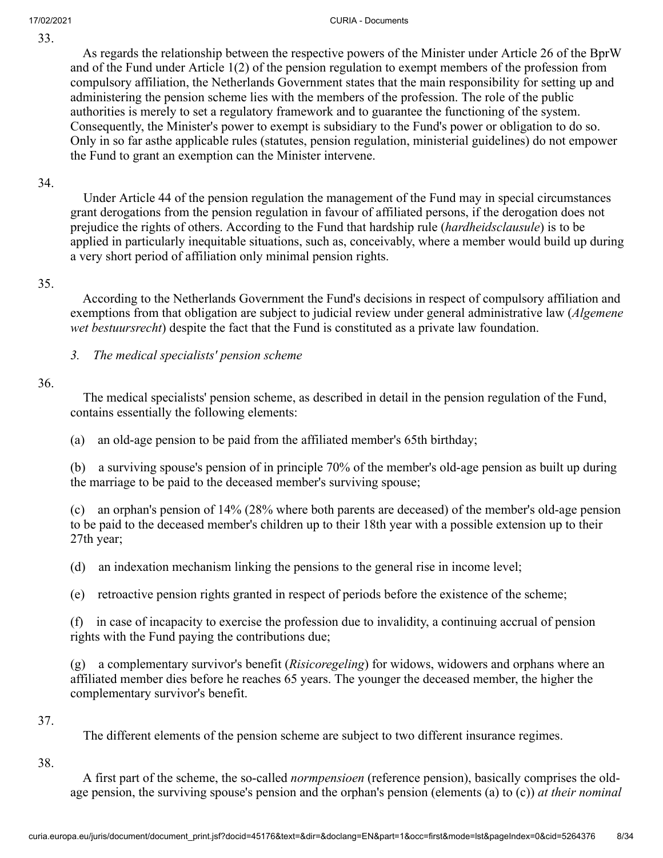33.

 As regards the relationship between the respective powers of the Minister under Article 26 of the BprW and of the Fund under Article 1(2) of the pension regulation to exempt members of the profession from compulsory affiliation, the Netherlands Government states that the main responsibility for setting up and administering the pension scheme lies with the members of the profession. The role of the public authorities is merely to set a regulatory framework and to guarantee the functioning of the system. Consequently, the Minister's power to exempt is subsidiary to the Fund's power or obligation to do so. Only in so far asthe applicable rules (statutes, pension regulation, ministerial guidelines) do not empower the Fund to grant an exemption can the Minister intervene.

34.

 Under Article 44 of the pension regulation the management of the Fund may in special circumstances grant derogations from the pension regulation in favour of affiliated persons, if the derogation does not prejudice the rights of others. According to the Fund that hardship rule (*hardheidsclausule*) is to be applied in particularly inequitable situations, such as, conceivably, where a member would build up during a very short period of affiliation only minimal pension rights.

### 35.

 According to the Netherlands Government the Fund's decisions in respect of compulsory affiliation and exemptions from that obligation are subject to judicial review under general administrative law (*Algemene wet bestuursrecht*) despite the fact that the Fund is constituted as a private law foundation.

*3. The medical specialists' pension scheme*

## 36.

 The medical specialists' pension scheme, as described in detail in the pension regulation of the Fund, contains essentially the following elements:

(a) an old-age pension to be paid from the affiliated member's 65th birthday;

(b) a surviving spouse's pension of in principle 70% of the member's old-age pension as built up during the marriage to be paid to the deceased member's surviving spouse;

(c) an orphan's pension of 14% (28% where both parents are deceased) of the member's old-age pension to be paid to the deceased member's children up to their 18th year with a possible extension up to their 27th year;

(d) an indexation mechanism linking the pensions to the general rise in income level;

(e) retroactive pension rights granted in respect of periods before the existence of the scheme;

(f) in case of incapacity to exercise the profession due to invalidity, a continuing accrual of pension rights with the Fund paying the contributions due;

(g) a complementary survivor's benefit (*Risicoregeling*) for widows, widowers and orphans where an affiliated member dies before he reaches 65 years. The younger the deceased member, the higher the complementary survivor's benefit.

### 37.

The different elements of the pension scheme are subject to two different insurance regimes.

## 38.

 A first part of the scheme, the so-called *normpensioen* (reference pension), basically comprises the oldage pension, the surviving spouse's pension and the orphan's pension (elements (a) to (c)) *at their nominal*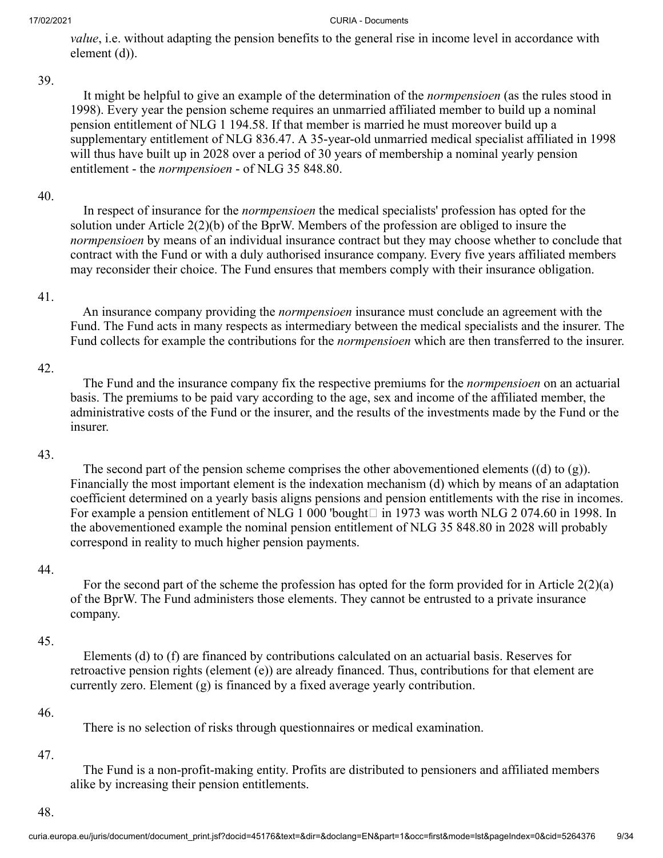*value*, i.e. without adapting the pension benefits to the general rise in income level in accordance with element (d)).

#### 39.

 It might be helpful to give an example of the determination of the *normpensioen* (as the rules stood in 1998). Every year the pension scheme requires an unmarried affiliated member to build up a nominal pension entitlement of NLG 1 194.58. If that member is married he must moreover build up a supplementary entitlement of NLG 836.47. A 35-year-old unmarried medical specialist affiliated in 1998 will thus have built up in 2028 over a period of 30 years of membership a nominal yearly pension entitlement - the *normpensioen* - of NLG 35 848.80.

### 40.

 In respect of insurance for the *normpensioen* the medical specialists' profession has opted for the solution under Article 2(2)(b) of the BprW. Members of the profession are obliged to insure the *normpensioen* by means of an individual insurance contract but they may choose whether to conclude that contract with the Fund or with a duly authorised insurance company. Every five years affiliated members may reconsider their choice. The Fund ensures that members comply with their insurance obligation.

### 41.

 An insurance company providing the *normpensioen* insurance must conclude an agreement with the Fund. The Fund acts in many respects as intermediary between the medical specialists and the insurer. The Fund collects for example the contributions for the *normpensioen* which are then transferred to the insurer.

### 42.

 The Fund and the insurance company fix the respective premiums for the *normpensioen* on an actuarial basis. The premiums to be paid vary according to the age, sex and income of the affiliated member, the administrative costs of the Fund or the insurer, and the results of the investments made by the Fund or the insurer.

### 43.

The second part of the pension scheme comprises the other abovementioned elements  $((d)$  to  $(g)$ ). Financially the most important element is the indexation mechanism (d) which by means of an adaptation coefficient determined on a yearly basis aligns pensions and pension entitlements with the rise in incomes. For example a pension entitlement of NLG 1 000 'bought  $\Box$  in 1973 was worth NLG 2 074.60 in 1998. In the abovementioned example the nominal pension entitlement of NLG 35 848.80 in 2028 will probably correspond in reality to much higher pension payments.

### 44.

For the second part of the scheme the profession has opted for the form provided for in Article  $2(2)(a)$ of the BprW. The Fund administers those elements. They cannot be entrusted to a private insurance company.

### 45.

 Elements (d) to (f) are financed by contributions calculated on an actuarial basis. Reserves for retroactive pension rights (element (e)) are already financed. Thus, contributions for that element are currently zero. Element (g) is financed by a fixed average yearly contribution.

#### 46.

There is no selection of risks through questionnaires or medical examination.

#### 47.

 The Fund is a non-profit-making entity. Profits are distributed to pensioners and affiliated members alike by increasing their pension entitlements.

#### 48.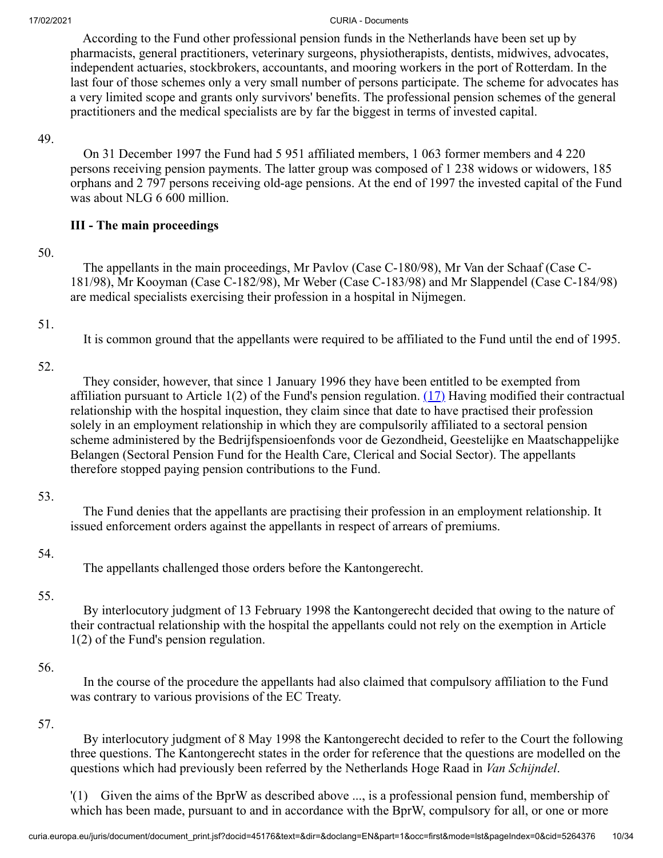According to the Fund other professional pension funds in the Netherlands have been set up by pharmacists, general practitioners, veterinary surgeons, physiotherapists, dentists, midwives, advocates, independent actuaries, stockbrokers, accountants, and mooring workers in the port of Rotterdam. In the last four of those schemes only a very small number of persons participate. The scheme for advocates has a very limited scope and grants only survivors' benefits. The professional pension schemes of the general practitioners and the medical specialists are by far the biggest in terms of invested capital.

#### 49.

 On 31 December 1997 the Fund had 5 951 affiliated members, 1 063 former members and 4 220 persons receiving pension payments. The latter group was composed of 1 238 widows or widowers, 185 orphans and 2 797 persons receiving old-age pensions. At the end of 1997 the invested capital of the Fund was about NLG 6 600 million.

## **III - The main proceedings**

### 50.

 The appellants in the main proceedings, Mr Pavlov (Case C-180/98), Mr Van der Schaaf (Case C-181/98), Mr Kooyman (Case C-182/98), Mr Weber (Case C-183/98) and Mr Slappendel (Case C-184/98) are medical specialists exercising their profession in a hospital in Nijmegen.

### 51.

<span id="page-9-0"></span>It is common ground that the appellants were required to be affiliated to the Fund until the end of 1995.

## 52.

 They consider, however, that since 1 January 1996 they have been entitled to be exempted from affiliation pursuant to Article 1(2) of the Fund's pension regulation.  $(17)$  Having modified their contractual relationship with the hospital inquestion, they claim since that date to have practised their profession solely in an employment relationship in which they are compulsorily affiliated to a sectoral pension scheme administered by the Bedrijfspensioenfonds voor de Gezondheid, Geestelijke en Maatschappelijke Belangen (Sectoral Pension Fund for the Health Care, Clerical and Social Sector). The appellants therefore stopped paying pension contributions to the Fund.

## 53.

 The Fund denies that the appellants are practising their profession in an employment relationship. It issued enforcement orders against the appellants in respect of arrears of premiums.

## 54.

The appellants challenged those orders before the Kantongerecht.

## 55.

 By interlocutory judgment of 13 February 1998 the Kantongerecht decided that owing to the nature of their contractual relationship with the hospital the appellants could not rely on the exemption in Article 1(2) of the Fund's pension regulation.

## 56.

 In the course of the procedure the appellants had also claimed that compulsory affiliation to the Fund was contrary to various provisions of the EC Treaty.

## 57.

 By interlocutory judgment of 8 May 1998 the Kantongerecht decided to refer to the Court the following three questions. The Kantongerecht states in the order for reference that the questions are modelled on the questions which had previously been referred by the Netherlands Hoge Raad in *Van Schijndel*.

'(1) Given the aims of the BprW as described above ..., is a professional pension fund, membership of which has been made, pursuant to and in accordance with the BprW, compulsory for all, or one or more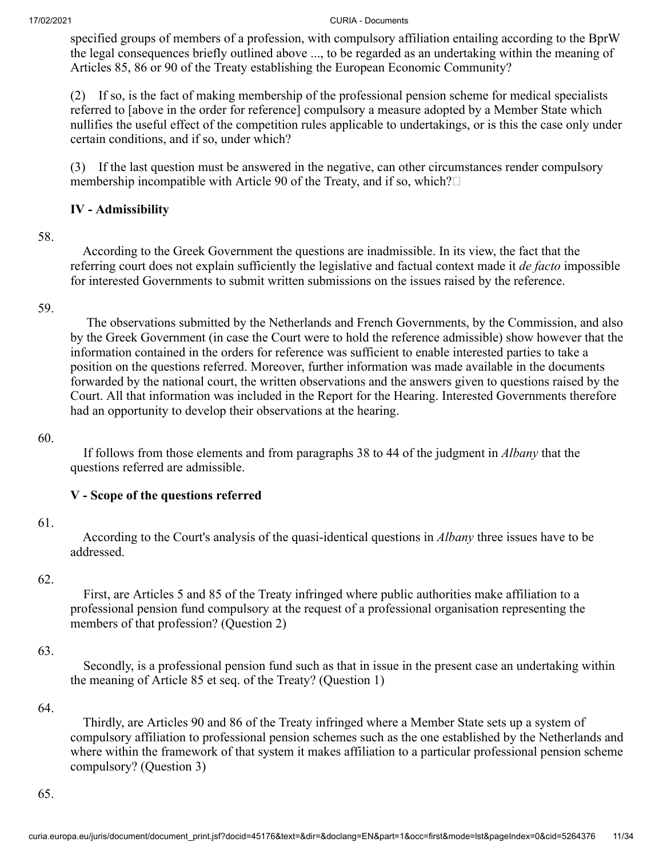specified groups of members of a profession, with compulsory affiliation entailing according to the BprW the legal consequences briefly outlined above ..., to be regarded as an undertaking within the meaning of Articles 85, 86 or 90 of the Treaty establishing the European Economic Community?

(2) If so, is the fact of making membership of the professional pension scheme for medical specialists referred to [above in the order for reference] compulsory a measure adopted by a Member State which nullifies the useful effect of the competition rules applicable to undertakings, or is this the case only under certain conditions, and if so, under which?

(3) If the last question must be answered in the negative, can other circumstances render compulsory membership incompatible with Article 90 of the Treaty, and if so, which? $\square$ 

# **IV - Admissibility**

### 58.

 According to the Greek Government the questions are inadmissible. In its view, the fact that the referring court does not explain sufficiently the legislative and factual context made it *de facto* impossible for interested Governments to submit written submissions on the issues raised by the reference.

### 59.

 The observations submitted by the Netherlands and French Governments, by the Commission, and also by the Greek Government (in case the Court were to hold the reference admissible) show however that the information contained in the orders for reference was sufficient to enable interested parties to take a position on the questions referred. Moreover, further information was made available in the documents forwarded by the national court, the written observations and the answers given to questions raised by the Court. All that information was included in the Report for the Hearing. Interested Governments therefore had an opportunity to develop their observations at the hearing.

### 60.

 If follows from those elements and from paragraphs 38 to 44 of the judgment in *Albany* that the questions referred are admissible.

## **V - Scope of the questions referred**

### 61.

 According to the Court's analysis of the quasi-identical questions in *Albany* three issues have to be addressed.

### 62.

 First, are Articles 5 and 85 of the Treaty infringed where public authorities make affiliation to a professional pension fund compulsory at the request of a professional organisation representing the members of that profession? (Question 2)

### 63.

 Secondly, is a professional pension fund such as that in issue in the present case an undertaking within the meaning of Article 85 et seq. of the Treaty? (Question 1)

### 64.

 Thirdly, are Articles 90 and 86 of the Treaty infringed where a Member State sets up a system of compulsory affiliation to professional pension schemes such as the one established by the Netherlands and where within the framework of that system it makes affiliation to a particular professional pension scheme compulsory? (Question 3)

65.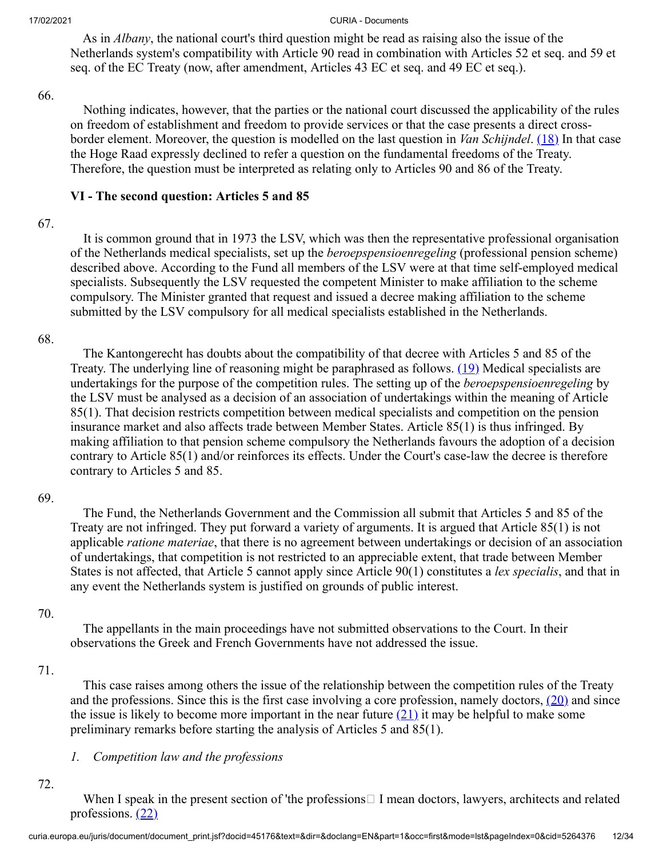As in *Albany*, the national court's third question might be read as raising also the issue of the Netherlands system's compatibility with Article 90 read in combination with Articles 52 et seq. and 59 et seq. of the EC Treaty (now, after amendment, Articles 43 EC et seq. and 49 EC et seq.).

#### 66.

<span id="page-11-0"></span> Nothing indicates, however, that the parties or the national court discussed the applicability of the rules on freedom of establishment and freedom to provide services or that the case presents a direct crossborder element. Moreover, the question is modelled on the last question in *Van Schijndel*. [\(18\)](#page-28-12) In that case the Hoge Raad expressly declined to refer a question on the fundamental freedoms of the Treaty. Therefore, the question must be interpreted as relating only to Articles 90 and 86 of the Treaty.

## **VI - The second question: Articles 5 and 85**

### 67.

 It is common ground that in 1973 the LSV, which was then the representative professional organisation of the Netherlands medical specialists, set up the *beroepspensioenregeling* (professional pension scheme) described above. According to the Fund all members of the LSV were at that time self-employed medical specialists. Subsequently the LSV requested the competent Minister to make affiliation to the scheme compulsory. The Minister granted that request and issued a decree making affiliation to the scheme submitted by the LSV compulsory for all medical specialists established in the Netherlands.

### 68.

<span id="page-11-1"></span> The Kantongerecht has doubts about the compatibility of that decree with Articles 5 and 85 of the Treaty. The underlying line of reasoning might be paraphrased as follows. [\(19\)](#page-28-13) Medical specialists are undertakings for the purpose of the competition rules. The setting up of the *beroepspensioenregeling* by the LSV must be analysed as a decision of an association of undertakings within the meaning of Article 85(1). That decision restricts competition between medical specialists and competition on the pension insurance market and also affects trade between Member States. Article 85(1) is thus infringed. By making affiliation to that pension scheme compulsory the Netherlands favours the adoption of a decision contrary to Article 85(1) and/or reinforces its effects. Under the Court's case-law the decree is therefore contrary to Articles 5 and 85.

### 69.

 The Fund, the Netherlands Government and the Commission all submit that Articles 5 and 85 of the Treaty are not infringed. They put forward a variety of arguments. It is argued that Article 85(1) is not applicable *ratione materiae*, that there is no agreement between undertakings or decision of an association of undertakings, that competition is not restricted to an appreciable extent, that trade between Member States is not affected, that Article 5 cannot apply since Article 90(1) constitutes a *lex specialis*, and that in any event the Netherlands system is justified on grounds of public interest.

### 70.

 The appellants in the main proceedings have not submitted observations to the Court. In their observations the Greek and French Governments have not addressed the issue.

### 71.

<span id="page-11-2"></span> This case raises among others the issue of the relationship between the competition rules of the Treaty and the professions. Since this is the first case involving a core profession, namely doctors,  $(20)$  and since the issue is likely to become more important in the near future  $(21)$  it may be helpful to make some preliminary remarks before starting the analysis of Articles 5 and 85(1).

## <span id="page-11-3"></span>*1. Competition law and the professions*

# 72.

<span id="page-11-4"></span>When I speak in the present section of 'the professions $\Box$  I mean doctors, lawyers, architects and related professions.  $(22)$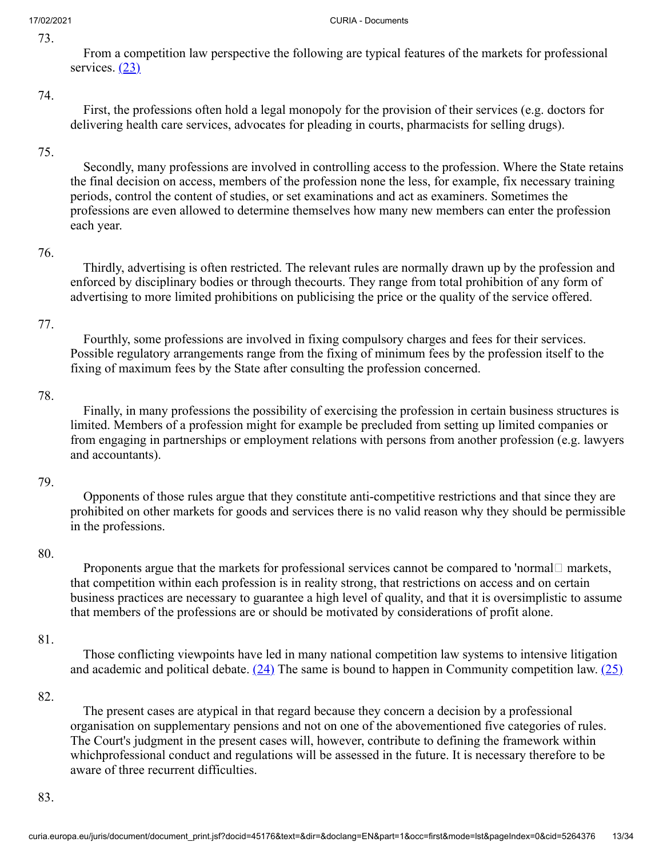73.

<span id="page-12-0"></span> From a competition law perspective the following are typical features of the markets for professional services.  $(23)$ 

### 74.

 First, the professions often hold a legal monopoly for the provision of their services (e.g. doctors for delivering health care services, advocates for pleading in courts, pharmacists for selling drugs).

## 75.

 Secondly, many professions are involved in controlling access to the profession. Where the State retains the final decision on access, members of the profession none the less, for example, fix necessary training periods, control the content of studies, or set examinations and act as examiners. Sometimes the professions are even allowed to determine themselves how many new members can enter the profession each year.

### 76.

 Thirdly, advertising is often restricted. The relevant rules are normally drawn up by the profession and enforced by disciplinary bodies or through thecourts. They range from total prohibition of any form of advertising to more limited prohibitions on publicising the price or the quality of the service offered.

## 77.

 Fourthly, some professions are involved in fixing compulsory charges and fees for their services. Possible regulatory arrangements range from the fixing of minimum fees by the profession itself to the fixing of maximum fees by the State after consulting the profession concerned.

### 78.

 Finally, in many professions the possibility of exercising the profession in certain business structures is limited. Members of a profession might for example be precluded from setting up limited companies or from engaging in partnerships or employment relations with persons from another profession (e.g. lawyers and accountants).

## 79.

 Opponents of those rules argue that they constitute anti-competitive restrictions and that since they are prohibited on other markets for goods and services there is no valid reason why they should be permissible in the professions.

## 80.

Proponents argue that the markets for professional services cannot be compared to 'normal  $\Box$  markets, that competition within each profession is in reality strong, that restrictions on access and on certain business practices are necessary to guarantee a high level of quality, and that it is oversimplistic to assume that members of the professions are or should be motivated by considerations of profit alone.

## 81.

<span id="page-12-2"></span><span id="page-12-1"></span> Those conflicting viewpoints have led in many national competition law systems to intensive litigation and academic and political debate.  $(24)$  The same is bound to happen in Community competition law.  $(25)$ 

## 82.

 The present cases are atypical in that regard because they concern a decision by a professional organisation on supplementary pensions and not on one of the abovementioned five categories of rules. The Court's judgment in the present cases will, however, contribute to defining the framework within whichprofessional conduct and regulations will be assessed in the future. It is necessary therefore to be aware of three recurrent difficulties.

83.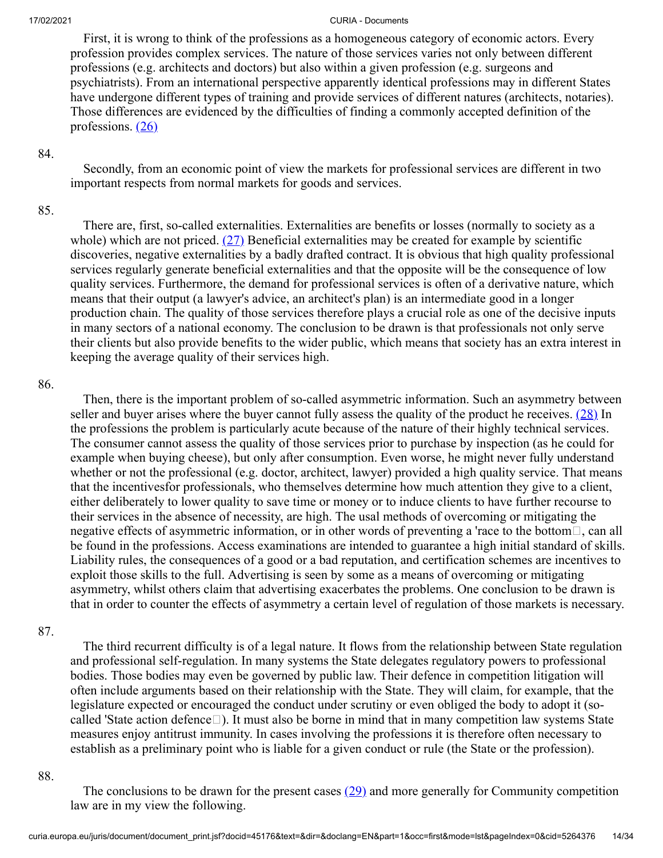First, it is wrong to think of the professions as a homogeneous category of economic actors. Every profession provides complex services. The nature of those services varies not only between different professions (e.g. architects and doctors) but also within a given profession (e.g. surgeons and psychiatrists). From an international perspective apparently identical professions may in different States have undergone different types of training and provide services of different natures (architects, notaries). Those differences are evidenced by the difficulties of finding a commonly accepted definition of the professions.  $(26)$ 

### 84.

<span id="page-13-0"></span> Secondly, from an economic point of view the markets for professional services are different in two important respects from normal markets for goods and services.

### 85.

<span id="page-13-1"></span> There are, first, so-called externalities. Externalities are benefits or losses (normally to society as a whole) which are not priced.  $(27)$  Beneficial externalities may be created for example by scientific discoveries, negative externalities by a badly drafted contract. It is obvious that high quality professional services regularly generate beneficial externalities and that the opposite will be the consequence of low quality services. Furthermore, the demand for professional services is often of a derivative nature, which means that their output (a lawyer's advice, an architect's plan) is an intermediate good in a longer production chain. The quality of those services therefore plays a crucial role as one of the decisive inputs in many sectors of a national economy. The conclusion to be drawn is that professionals not only serve their clients but also provide benefits to the wider public, which means that society has an extra interest in keeping the average quality of their services high.

### 86.

<span id="page-13-2"></span> Then, there is the important problem of so-called asymmetric information. Such an asymmetry between seller and buyer arises where the buyer cannot fully assess the quality of the product he receives.  $(28)$  In the professions the problem is particularly acute because of the nature of their highly technical services. The consumer cannot assess the quality of those services prior to purchase by inspection (as he could for example when buying cheese), but only after consumption. Even worse, he might never fully understand whether or not the professional (e.g. doctor, architect, lawyer) provided a high quality service. That means that the incentivesfor professionals, who themselves determine how much attention they give to a client, either deliberately to lower quality to save time or money or to induce clients to have further recourse to their services in the absence of necessity, are high. The usal methods of overcoming or mitigating the negative effects of asymmetric information, or in other words of preventing a 'race to the bottom $\Box$ , can all be found in the professions. Access examinations are intended to guarantee a high initial standard of skills. Liability rules, the consequences of a good or a bad reputation, and certification schemes are incentives to exploit those skills to the full. Advertising is seen by some as a means of overcoming or mitigating asymmetry, whilst others claim that advertising exacerbates the problems. One conclusion to be drawn is that in order to counter the effects of asymmetry a certain level of regulation of those markets is necessary.

### 87.

 The third recurrent difficulty is of a legal nature. It flows from the relationship between State regulation and professional self-regulation. In many systems the State delegates regulatory powers to professional bodies. Those bodies may even be governed by public law. Their defence in competition litigation will often include arguments based on their relationship with the State. They will claim, for example, that the legislature expected or encouraged the conduct under scrutiny or even obliged the body to adopt it (socalled 'State action defence $\square$ ). It must also be borne in mind that in many competition law systems State measures enjoy antitrust immunity. In cases involving the professions it is therefore often necessary to establish as a preliminary point who is liable for a given conduct or rule (the State or the profession).

#### 88.

<span id="page-13-3"></span>The conclusions to be drawn for the present cases  $(29)$  and more generally for Community competition law are in my view the following.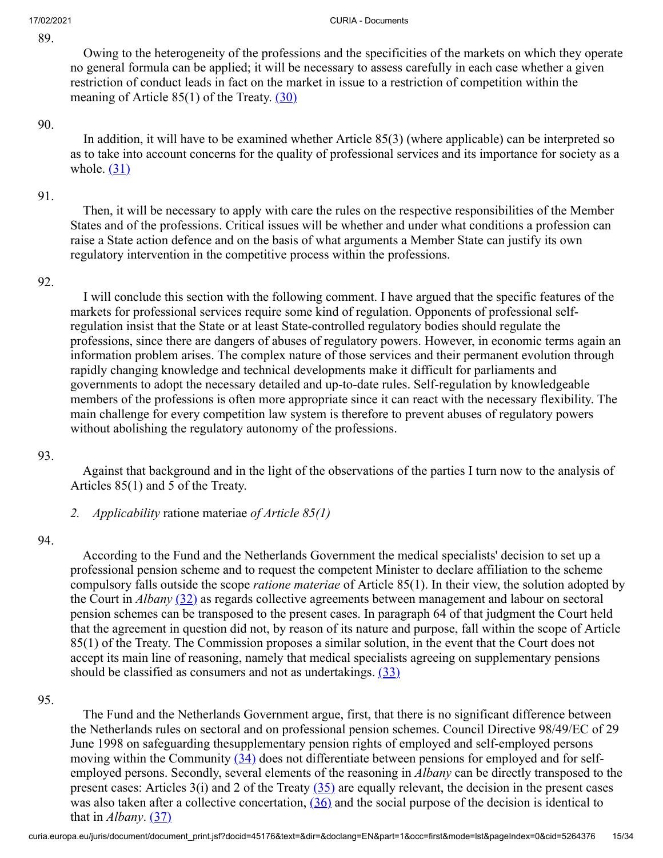89.

#### 17/02/2021 CURIA - Documents

 Owing to the heterogeneity of the professions and the specificities of the markets on which they operate no general formula can be applied; it will be necessary to assess carefully in each case whether a given restriction of conduct leads in fact on the market in issue to a restriction of competition within the meaning of Article  $85(1)$  of the Treaty.  $(30)$ 

#### 90.

<span id="page-14-1"></span><span id="page-14-0"></span> In addition, it will have to be examined whether Article 85(3) (where applicable) can be interpreted so as to take into account concerns for the quality of professional services and its importance for society as a whole.  $(31)$ 

### 91.

 Then, it will be necessary to apply with care the rules on the respective responsibilities of the Member States and of the professions. Critical issues will be whether and under what conditions a profession can raise a State action defence and on the basis of what arguments a Member State can justify its own regulatory intervention in the competitive process within the professions.

#### 92.

 I will conclude this section with the following comment. I have argued that the specific features of the markets for professional services require some kind of regulation. Opponents of professional selfregulation insist that the State or at least State-controlled regulatory bodies should regulate the professions, since there are dangers of abuses of regulatory powers. However, in economic terms again an information problem arises. The complex nature of those services and their permanent evolution through rapidly changing knowledge and technical developments make it difficult for parliaments and governments to adopt the necessary detailed and up-to-date rules. Self-regulation by knowledgeable members of the professions is often more appropriate since it can react with the necessary flexibility. The main challenge for every competition law system is therefore to prevent abuses of regulatory powers without abolishing the regulatory autonomy of the professions.

#### 93.

 Against that background and in the light of the observations of the parties I turn now to the analysis of Articles 85(1) and 5 of the Treaty.

*2. Applicability* ratione materiae *of Article 85(1)*

#### 94.

<span id="page-14-2"></span> According to the Fund and the Netherlands Government the medical specialists' decision to set up a professional pension scheme and to request the competent Minister to declare affiliation to the scheme compulsory falls outside the scope *ratione materiae* of Article 85(1). In their view, the solution adopted by the Court in *Albany* [\(32\)](#page-29-9) as regards collective agreements between management and labour on sectoral pension schemes can be transposed to the present cases. In paragraph 64 of that judgment the Court held that the agreement in question did not, by reason of its nature and purpose, fall within the scope of Article 85(1) of the Treaty. The Commission proposes a similar solution, in the event that the Court does not accept its main line of reasoning, namely that medical specialists agreeing on supplementary pensions should be classified as consumers and not as undertakings.  $(33)$ 

### 95.

<span id="page-14-7"></span><span id="page-14-6"></span><span id="page-14-5"></span><span id="page-14-4"></span><span id="page-14-3"></span> The Fund and the Netherlands Government argue, first, that there is no significant difference between the Netherlands rules on sectoral and on professional pension schemes. Council Directive 98/49/EC of 29 June 1998 on safeguarding thesupplementary pension rights of employed and self-employed persons moving within the Community [\(34\)](#page-29-11) does not differentiate between pensions for employed and for selfemployed persons. Secondly, several elements of the reasoning in *Albany* can be directly transposed to the present cases: Articles  $3(i)$  and 2 of the Treaty  $(35)$  are equally relevant, the decision in the present cases was also taken after a collective concertation,  $(36)$  and the social purpose of the decision is identical to that in *Albany*. [\(37\)](#page-29-14)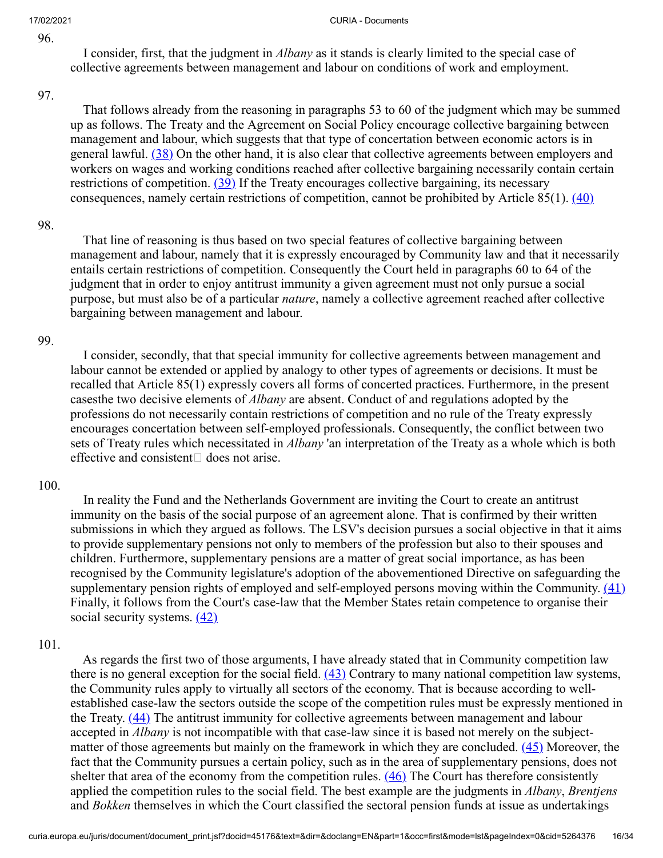96.

 I consider, first, that the judgment in *Albany* as it stands is clearly limited to the special case of collective agreements between management and labour on conditions of work and employment.

#### 97.

<span id="page-15-0"></span> That follows already from the reasoning in paragraphs 53 to 60 of the judgment which may be summed up as follows. The Treaty and the Agreement on Social Policy encourage collective bargaining between management and labour, which suggests that that type of concertation between economic actors is in general lawful. [\(38\)](#page-30-0) On the other hand, it is also clear that collective agreements between employers and workers on wages and working conditions reached after collective bargaining necessarily contain certain restrictions of competition.  $(39)$  If the Treaty encourages collective bargaining, its necessary consequences, namely certain restrictions of competition, cannot be prohibited by Article  $85(1)$ .  $(40)$ 

#### 98.

<span id="page-15-2"></span><span id="page-15-1"></span> That line of reasoning is thus based on two special features of collective bargaining between management and labour, namely that it is expressly encouraged by Community law and that it necessarily entails certain restrictions of competition. Consequently the Court held in paragraphs 60 to 64 of the judgment that in order to enjoy antitrust immunity a given agreement must not only pursue a social purpose, but must also be of a particular *nature*, namely a collective agreement reached after collective bargaining between management and labour.

### 99.

 I consider, secondly, that that special immunity for collective agreements between management and labour cannot be extended or applied by analogy to other types of agreements or decisions. It must be recalled that Article 85(1) expressly covers all forms of concerted practices. Furthermore, in the present casesthe two decisive elements of *Albany* are absent. Conduct of and regulations adopted by the professions do not necessarily contain restrictions of competition and no rule of the Treaty expressly encourages concertation between self-employed professionals. Consequently, the conflict between two sets of Treaty rules which necessitated in *Albany* 'an interpretation of the Treaty as a whole which is both effective and consistent  $\Box$  does not arise.

### 100.

 In reality the Fund and the Netherlands Government are inviting the Court to create an antitrust immunity on the basis of the social purpose of an agreement alone. That is confirmed by their written submissions in which they argued as follows. The LSV's decision pursues a social objective in that it aims to provide supplementary pensions not only to members of the profession but also to their spouses and children. Furthermore, supplementary pensions are a matter of great social importance, as has been recognised by the Community legislature's adoption of the abovementioned Directive on safeguarding the supplementary pension rights of employed and self-employed persons moving within the Community.  $(41)$ Finally, it follows from the Court's case-law that the Member States retain competence to organise their social security systems.  $(42)$ 

### 101.

<span id="page-15-8"></span><span id="page-15-7"></span><span id="page-15-6"></span><span id="page-15-5"></span><span id="page-15-4"></span><span id="page-15-3"></span> As regards the first two of those arguments, I have already stated that in Community competition law there is no general exception for the social field.  $(43)$  Contrary to many national competition law systems, the Community rules apply to virtually all sectors of the economy. That is because according to wellestablished case-law the sectors outside the scope of the competition rules must be expressly mentioned in the Treaty. [\(44\)](#page-30-6) The antitrust immunity for collective agreements between management and labour accepted in *Albany* is not incompatible with that case-law since it is based not merely on the subject-matter of those agreements but mainly on the framework in which they are concluded. [\(45\)](#page-30-7) Moreover, the fact that the Community pursues a certain policy, such as in the area of supplementary pensions, does not shelter that area of the economy from the competition rules.  $(46)$  The Court has therefore consistently applied the competition rules to the social field. The best example are the judgments in *Albany*, *Brentjens* and *Bokken* themselves in which the Court classified the sectoral pension funds at issue as undertakings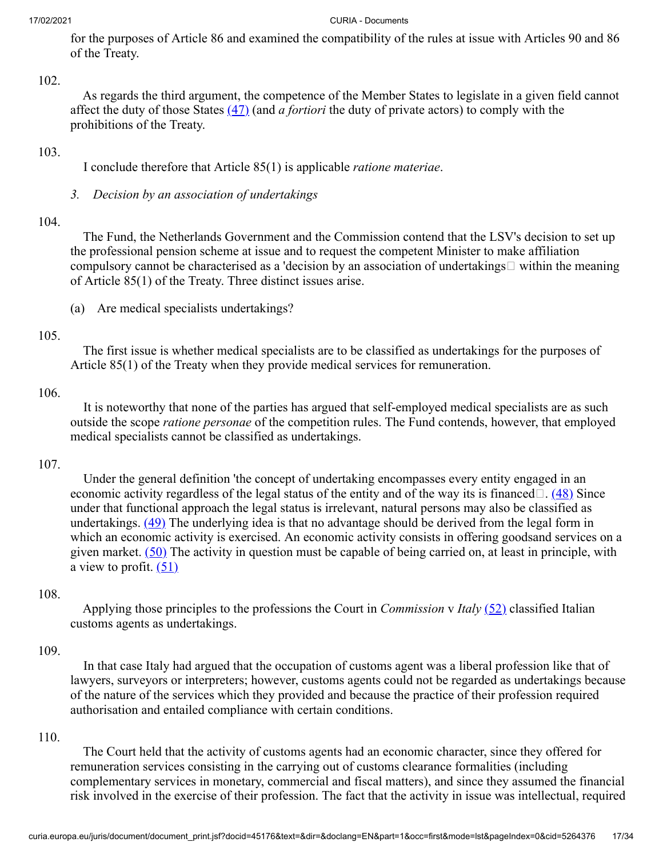for the purposes of Article 86 and examined the compatibility of the rules at issue with Articles 90 and 86 of the Treaty.

102.

 As regards the third argument, the competence of the Member States to legislate in a given field cannot affect the duty of those States [\(47\)](#page-30-9) (and *a fortiori* the duty of private actors) to comply with the prohibitions of the Treaty.

### 103.

<span id="page-16-0"></span>I conclude therefore that Article 85(1) is applicable *ratione materiae*.

*3. Decision by an association of undertakings*

### 104.

 The Fund, the Netherlands Government and the Commission contend that the LSV's decision to set up the professional pension scheme at issue and to request the competent Minister to make affiliation compulsory cannot be characterised as a 'decision by an association of undertakings  $\Box$  within the meaning of Article 85(1) of the Treaty. Three distinct issues arise.

(a) Are medical specialists undertakings?

### 105.

 The first issue is whether medical specialists are to be classified as undertakings for the purposes of Article 85(1) of the Treaty when they provide medical services for remuneration.

## 106.

 It is noteworthy that none of the parties has argued that self-employed medical specialists are as such outside the scope *ratione personae* of the competition rules. The Fund contends, however, that employed medical specialists cannot be classified as undertakings.

### 107.

<span id="page-16-2"></span><span id="page-16-1"></span> Under the general definition 'the concept of undertaking encompasses every entity engaged in an economic activity regardless of the legal status of the entity and of the way its is financed $\Box$ . [\(48\)](#page-30-10) Since under that functional approach the legal status is irrelevant, natural persons may also be classified as undertakings. [\(49\)](#page-30-11) The underlying idea is that no advantage should be derived from the legal form in which an economic activity is exercised. An economic activity consists in offering goodsand services on a given market.  $(50)$  The activity in question must be capable of being carried on, at least in principle, with a view to profit.  $(51)$ 

### 108.

<span id="page-16-5"></span><span id="page-16-4"></span><span id="page-16-3"></span> Applying those principles to the professions the Court in *Commission* v *Italy* [\(52\)](#page-30-14) classified Italian customs agents as undertakings.

### 109.

 In that case Italy had argued that the occupation of customs agent was a liberal profession like that of lawyers, surveyors or interpreters; however, customs agents could not be regarded as undertakings because of the nature of the services which they provided and because the practice of their profession required authorisation and entailed compliance with certain conditions.

### 110.

 The Court held that the activity of customs agents had an economic character, since they offered for remuneration services consisting in the carrying out of customs clearance formalities (including complementary services in monetary, commercial and fiscal matters), and since they assumed the financial risk involved in the exercise of their profession. The fact that the activity in issue was intellectual, required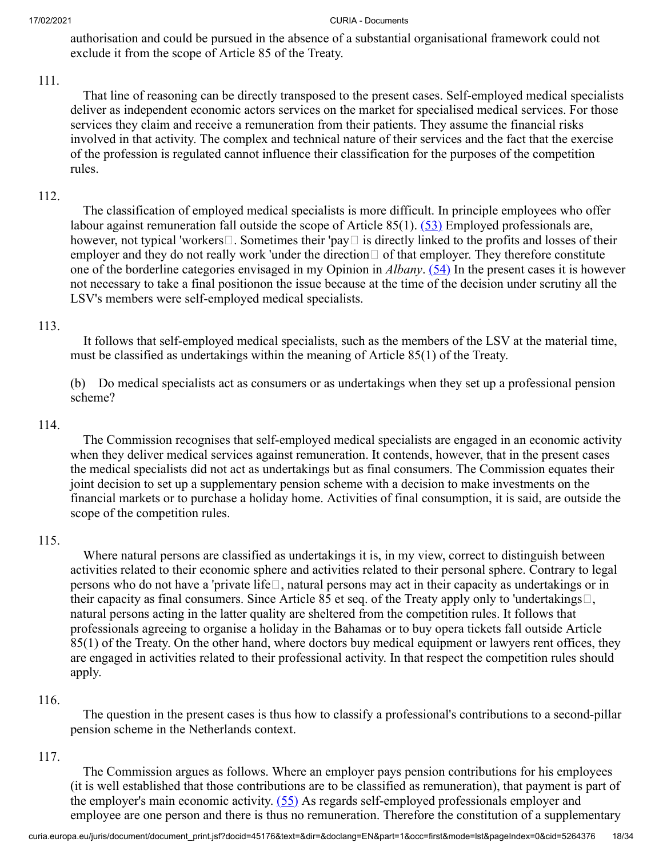authorisation and could be pursued in the absence of a substantial organisational framework could not exclude it from the scope of Article 85 of the Treaty.

## 111.

 That line of reasoning can be directly transposed to the present cases. Self-employed medical specialists deliver as independent economic actors services on the market for specialised medical services. For those services they claim and receive a remuneration from their patients. They assume the financial risks involved in that activity. The complex and technical nature of their services and the fact that the exercise of the profession is regulated cannot influence their classification for the purposes of the competition rules.

# 112.

<span id="page-17-1"></span><span id="page-17-0"></span> The classification of employed medical specialists is more difficult. In principle employees who offer labour against remuneration fall outside the scope of Article  $85(1)$ .  $(53)$  Employed professionals are, however, not typical 'workers $\Box$ . Sometimes their 'pay $\Box$  is directly linked to the profits and losses of their employer and they do not really work 'under the direction  $\Box$  of that employer. They therefore constitute one of the borderline categories envisaged in my Opinion in *Albany*. [\(54\)](#page-30-16) In the present cases it is however not necessary to take a final positionon the issue because at the time of the decision under scrutiny all the LSV's members were self-employed medical specialists.

## 113.

 It follows that self-employed medical specialists, such as the members of the LSV at the material time, must be classified as undertakings within the meaning of Article 85(1) of the Treaty.

(b) Do medical specialists act as consumers or as undertakings when they set up a professional pension scheme?

### 114.

 The Commission recognises that self-employed medical specialists are engaged in an economic activity when they deliver medical services against remuneration. It contends, however, that in the present cases the medical specialists did not act as undertakings but as final consumers. The Commission equates their joint decision to set up a supplementary pension scheme with a decision to make investments on the financial markets or to purchase a holiday home. Activities of final consumption, it is said, are outside the scope of the competition rules.

### 115.

 Where natural persons are classified as undertakings it is, in my view, correct to distinguish between activities related to their economic sphere and activities related to their personal sphere. Contrary to legal persons who do not have a 'private life $\Box$ , natural persons may act in their capacity as undertakings or in their capacity as final consumers. Since Article 85 et seq. of the Treaty apply only to 'undertakings $\Box$ , natural persons acting in the latter quality are sheltered from the competition rules. It follows that professionals agreeing to organise a holiday in the Bahamas or to buy opera tickets fall outside Article 85(1) of the Treaty. On the other hand, where doctors buy medical equipment or lawyers rent offices, they are engaged in activities related to their professional activity. In that respect the competition rules should apply.

## 116.

 The question in the present cases is thus how to classify a professional's contributions to a second-pillar pension scheme in the Netherlands context.

## 117.

<span id="page-17-2"></span> The Commission argues as follows. Where an employer pays pension contributions for his employees (it is well established that those contributions are to be classified as remuneration), that payment is part of the employer's main economic activity.  $(55)$  As regards self-employed professionals employer and employee are one person and there is thus no remuneration. Therefore the constitution of a supplementary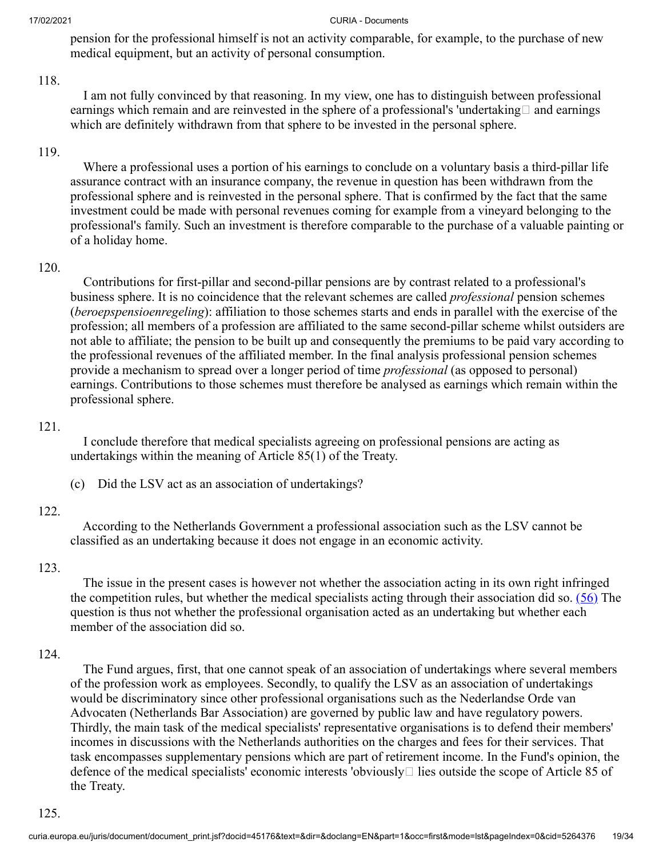pension for the professional himself is not an activity comparable, for example, to the purchase of new medical equipment, but an activity of personal consumption.

### 118.

 I am not fully convinced by that reasoning. In my view, one has to distinguish between professional earnings which remain and are reinvested in the sphere of a professional's 'undertaking  $\Box$  and earnings which are definitely withdrawn from that sphere to be invested in the personal sphere.

### 119.

 Where a professional uses a portion of his earnings to conclude on a voluntary basis a third-pillar life assurance contract with an insurance company, the revenue in question has been withdrawn from the professional sphere and is reinvested in the personal sphere. That is confirmed by the fact that the same investment could be made with personal revenues coming for example from a vineyard belonging to the professional's family. Such an investment is therefore comparable to the purchase of a valuable painting or of a holiday home.

### 120.

 Contributions for first-pillar and second-pillar pensions are by contrast related to a professional's business sphere. It is no coincidence that the relevant schemes are called *professional* pension schemes (*beroepspensioenregeling*): affiliation to those schemes starts and ends in parallel with the exercise of the profession; all members of a profession are affiliated to the same second-pillar scheme whilst outsiders are not able to affiliate; the pension to be built up and consequently the premiums to be paid vary according to the professional revenues of the affiliated member. In the final analysis professional pension schemes provide a mechanism to spread over a longer period of time *professional* (as opposed to personal) earnings. Contributions to those schemes must therefore be analysed as earnings which remain within the professional sphere.

### 121.

 I conclude therefore that medical specialists agreeing on professional pensions are acting as undertakings within the meaning of Article 85(1) of the Treaty.

(c) Did the LSV act as an association of undertakings?

### 122.

 According to the Netherlands Government a professional association such as the LSV cannot be classified as an undertaking because it does not engage in an economic activity.

### 123.

<span id="page-18-0"></span> The issue in the present cases is however not whether the association acting in its own right infringed the competition rules, but whether the medical specialists acting through their association did so.  $(56)$  The question is thus not whether the professional organisation acted as an undertaking but whether each member of the association did so.

### 124.

 The Fund argues, first, that one cannot speak of an association of undertakings where several members of the profession work as employees. Secondly, to qualify the LSV as an association of undertakings would be discriminatory since other professional organisations such as the Nederlandse Orde van Advocaten (Netherlands Bar Association) are governed by public law and have regulatory powers. Thirdly, the main task of the medical specialists' representative organisations is to defend their members' incomes in discussions with the Netherlands authorities on the charges and fees for their services. That task encompasses supplementary pensions which are part of retirement income. In the Fund's opinion, the defence of the medical specialists' economic interests 'obviously  $\Box$  lies outside the scope of Article 85 of the Treaty.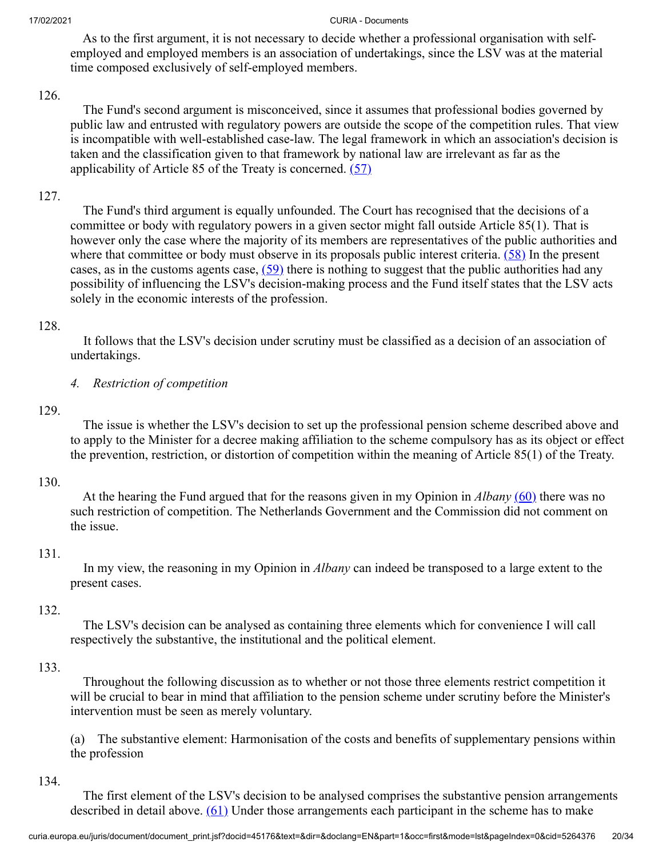As to the first argument, it is not necessary to decide whether a professional organisation with selfemployed and employed members is an association of undertakings, since the LSV was at the material time composed exclusively of self-employed members.

## 126.

 The Fund's second argument is misconceived, since it assumes that professional bodies governed by public law and entrusted with regulatory powers are outside the scope of the competition rules. That view is incompatible with well-established case-law. The legal framework in which an association's decision is taken and the classification given to that framework by national law are irrelevant as far as the applicability of Article 85 of the Treaty is concerned.  $(57)$ 

# 127.

<span id="page-19-2"></span><span id="page-19-1"></span><span id="page-19-0"></span> The Fund's third argument is equally unfounded. The Court has recognised that the decisions of a committee or body with regulatory powers in a given sector might fall outside Article 85(1). That is however only the case where the majority of its members are representatives of the public authorities and where that committee or body must observe in its proposals public interest criteria.  $(58)$  In the present cases, as in the customs agents case,  $(59)$  there is nothing to suggest that the public authorities had any possibility of influencing the LSV's decision-making process and the Fund itself states that the LSV acts solely in the economic interests of the profession.

## 128.

 It follows that the LSV's decision under scrutiny must be classified as a decision of an association of undertakings.

*4. Restriction of competition*

## 129.

 The issue is whether the LSV's decision to set up the professional pension scheme described above and to apply to the Minister for a decree making affiliation to the scheme compulsory has as its object or effect the prevention, restriction, or distortion of competition within the meaning of Article 85(1) of the Treaty.

## 130.

<span id="page-19-3"></span> At the hearing the Fund argued that for the reasons given in my Opinion in *Albany* [\(60\)](#page-31-5) there was no such restriction of competition. The Netherlands Government and the Commission did not comment on the issue.

## 131.

 In my view, the reasoning in my Opinion in *Albany* can indeed be transposed to a large extent to the present cases.

### 132.

 The LSV's decision can be analysed as containing three elements which for convenience I will call respectively the substantive, the institutional and the political element.

### 133.

 Throughout the following discussion as to whether or not those three elements restrict competition it will be crucial to bear in mind that affiliation to the pension scheme under scrutiny before the Minister's intervention must be seen as merely voluntary.

(a) The substantive element: Harmonisation of the costs and benefits of supplementary pensions within the profession

### 134.

<span id="page-19-4"></span> The first element of the LSV's decision to be analysed comprises the substantive pension arrangements described in detail above.  $(61)$  Under those arrangements each participant in the scheme has to make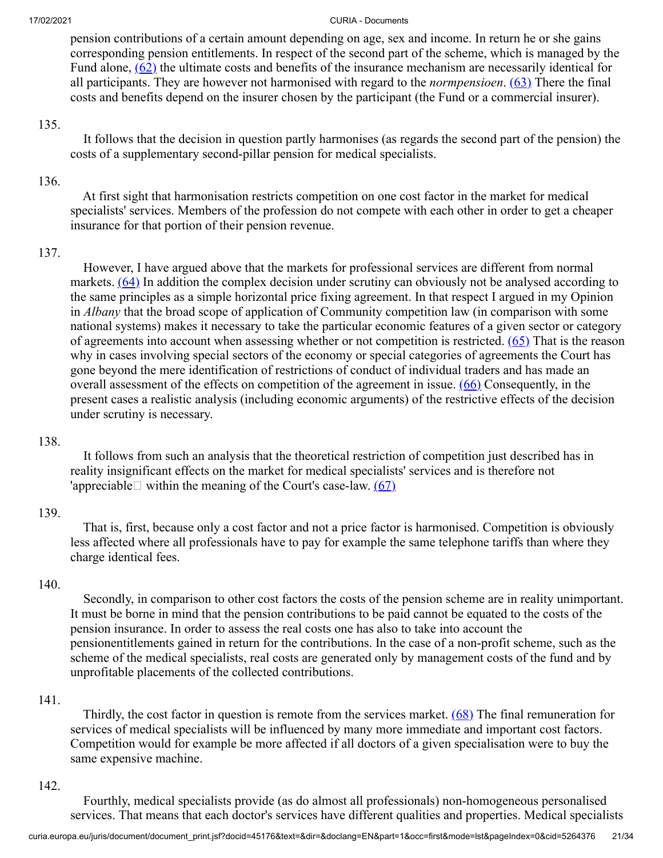<span id="page-20-1"></span><span id="page-20-0"></span>pension contributions of a certain amount depending on age, sex and income. In return he or she gains corresponding pension entitlements. In respect of the second part of the scheme, which is managed by the Fund alone,  $(62)$  the ultimate costs and benefits of the insurance mechanism are necessarily identical for all participants. They are however not harmonised with regard to the *normpensioen*. [\(63\)](#page-31-8) There the final costs and benefits depend on the insurer chosen by the participant (the Fund or a commercial insurer).

### 135.

 It follows that the decision in question partly harmonises (as regards the second part of the pension) the costs of a supplementary second-pillar pension for medical specialists.

## 136.

 At first sight that harmonisation restricts competition on one cost factor in the market for medical specialists' services. Members of the profession do not compete with each other in order to get a cheaper insurance for that portion of their pension revenue.

## 137.

<span id="page-20-3"></span><span id="page-20-2"></span> However, I have argued above that the markets for professional services are different from normal markets.  $(64)$  In addition the complex decision under scrutiny can obviously not be analysed according to the same principles as a simple horizontal price fixing agreement. In that respect I argued in my Opinion in *Albany* that the broad scope of application of Community competition law (in comparison with some national systems) makes it necessary to take the particular economic features of a given sector or category of agreements into account when assessing whether or not competition is restricted.  $(65)$  That is the reason why in cases involving special sectors of the economy or special categories of agreements the Court has gone beyond the mere identification of restrictions of conduct of individual traders and has made an overall assessment of the effects on competition of the agreement in issue. [\(66\)](#page-31-11) Consequently, in the present cases a realistic analysis (including economic arguments) of the restrictive effects of the decision under scrutiny is necessary.

## 138.

<span id="page-20-5"></span><span id="page-20-4"></span> It follows from such an analysis that the theoretical restriction of competition just described has in reality insignificant effects on the market for medical specialists' services and is therefore not 'appreciable  $\Box$  within the meaning of the Court's case-law. [\(67\)](#page-31-12)

## 139.

 That is, first, because only a cost factor and not a price factor is harmonised. Competition is obviously less affected where all professionals have to pay for example the same telephone tariffs than where they charge identical fees.

## 140.

 Secondly, in comparison to other cost factors the costs of the pension scheme are in reality unimportant. It must be borne in mind that the pension contributions to be paid cannot be equated to the costs of the pension insurance. In order to assess the real costs one has also to take into account the pensionentitlements gained in return for the contributions. In the case of a non-profit scheme, such as the scheme of the medical specialists, real costs are generated only by management costs of the fund and by unprofitable placements of the collected contributions.

## 141.

<span id="page-20-6"></span>Thirdly, the cost factor in question is remote from the services market.  $(68)$  The final remuneration for services of medical specialists will be influenced by many more immediate and important cost factors. Competition would for example be more affected if all doctors of a given specialisation were to buy the same expensive machine.

## 142.

 Fourthly, medical specialists provide (as do almost all professionals) non-homogeneous personalised services. That means that each doctor's services have different qualities and properties. Medical specialists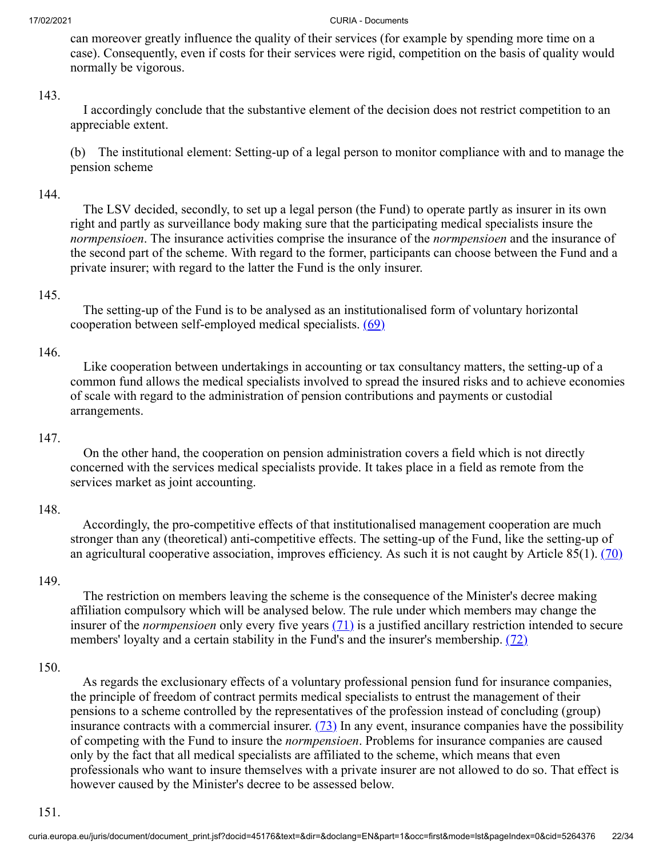can moreover greatly influence the quality of their services (for example by spending more time on a case). Consequently, even if costs for their services were rigid, competition on the basis of quality would normally be vigorous.

### 143.

 I accordingly conclude that the substantive element of the decision does not restrict competition to an appreciable extent.

(b) The institutional element: Setting-up of a legal person to monitor compliance with and to manage the pension scheme

### 144.

 The LSV decided, secondly, to set up a legal person (the Fund) to operate partly as insurer in its own right and partly as surveillance body making sure that the participating medical specialists insure the *normpensioen*. The insurance activities comprise the insurance of the *normpensioen* and the insurance of the second part of the scheme. With regard to the former, participants can choose between the Fund and a private insurer; with regard to the latter the Fund is the only insurer.

#### 145.

<span id="page-21-0"></span> The setting-up of the Fund is to be analysed as an institutionalised form of voluntary horizontal cooperation between self-employed medical specialists.  $(69)$ 

#### 146.

 Like cooperation between undertakings in accounting or tax consultancy matters, the setting-up of a common fund allows the medical specialists involved to spread the insured risks and to achieve economies of scale with regard to the administration of pension contributions and payments or custodial arrangements.

#### 147.

 On the other hand, the cooperation on pension administration covers a field which is not directly concerned with the services medical specialists provide. It takes place in a field as remote from the services market as joint accounting.

#### 148.

<span id="page-21-1"></span> Accordingly, the pro-competitive effects of that institutionalised management cooperation are much stronger than any (theoretical) anti-competitive effects. The setting-up of the Fund, like the setting-up of an agricultural cooperative association, improves efficiency. As such it is not caught by Article  $85(1)$ .  $(70)$ 

#### 149.

<span id="page-21-3"></span><span id="page-21-2"></span> The restriction on members leaving the scheme is the consequence of the Minister's decree making affiliation compulsory which will be analysed below. The rule under which members may change the insurer of the *normpensioen* only every five years [\(71\)](#page-31-16) is a justified ancillary restriction intended to secure members' loyalty and a certain stability in the Fund's and the insurer's membership. [\(72\)](#page-32-0)

### 150.

<span id="page-21-4"></span> As regards the exclusionary effects of a voluntary professional pension fund for insurance companies, the principle of freedom of contract permits medical specialists to entrust the management of their pensions to a scheme controlled by the representatives of the profession instead of concluding (group) insurance contracts with a commercial insurer.  $(73)$  In any event, insurance companies have the possibility of competing with the Fund to insure the *normpensioen*. Problems for insurance companies are caused only by the fact that all medical specialists are affiliated to the scheme, which means that even professionals who want to insure themselves with a private insurer are not allowed to do so. That effect is however caused by the Minister's decree to be assessed below.

#### 151.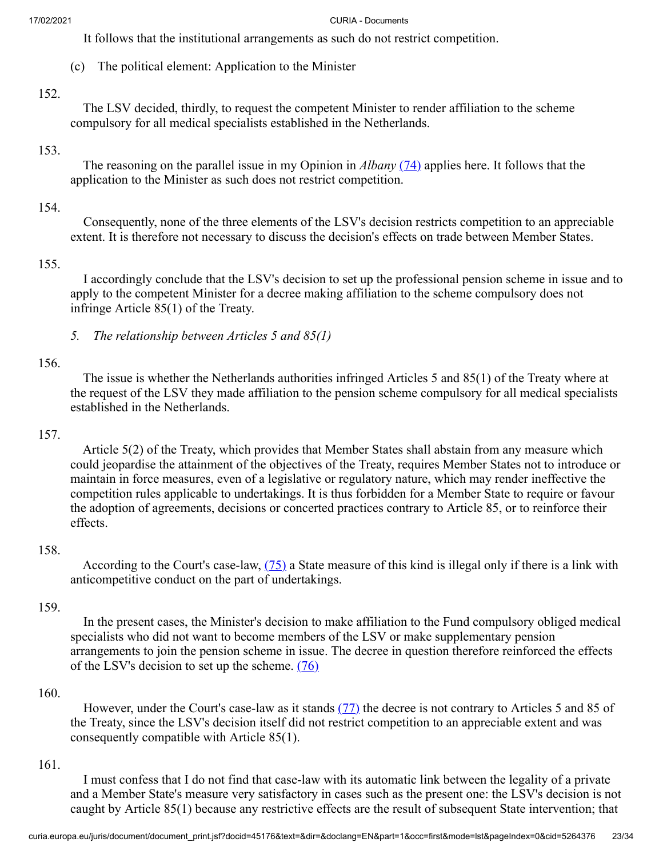It follows that the institutional arrangements as such do not restrict competition.

(c) The political element: Application to the Minister

#### 152.

 The LSV decided, thirdly, to request the competent Minister to render affiliation to the scheme compulsory for all medical specialists established in the Netherlands.

### 153.

<span id="page-22-0"></span> The reasoning on the parallel issue in my Opinion in *Albany* [\(74\)](#page-32-2) applies here. It follows that the application to the Minister as such does not restrict competition.

### 154.

 Consequently, none of the three elements of the LSV's decision restricts competition to an appreciable extent. It is therefore not necessary to discuss the decision's effects on trade between Member States.

### 155.

 I accordingly conclude that the LSV's decision to set up the professional pension scheme in issue and to apply to the competent Minister for a decree making affiliation to the scheme compulsory does not infringe Article 85(1) of the Treaty.

### 156.

 The issue is whether the Netherlands authorities infringed Articles 5 and 85(1) of the Treaty where at the request of the LSV they made affiliation to the pension scheme compulsory for all medical specialists established in the Netherlands.

### 157.

 Article 5(2) of the Treaty, which provides that Member States shall abstain from any measure which could jeopardise the attainment of the objectives of the Treaty, requires Member States not to introduce or maintain in force measures, even of a legislative or regulatory nature, which may render ineffective the competition rules applicable to undertakings. It is thus forbidden for a Member State to require or favour the adoption of agreements, decisions or concerted practices contrary to Article 85, or to reinforce their effects.

### 158.

<span id="page-22-1"></span>According to the Court's case-law,  $(75)$  a State measure of this kind is illegal only if there is a link with anticompetitive conduct on the part of undertakings.

### 159.

<span id="page-22-2"></span> In the present cases, the Minister's decision to make affiliation to the Fund compulsory obliged medical specialists who did not want to become members of the LSV or make supplementary pension arrangements to join the pension scheme in issue. The decree in question therefore reinforced the effects of the LSV's decision to set up the scheme.  $(76)$ 

### 160.

<span id="page-22-3"></span>However, under the Court's case-law as it stands  $(77)$  the decree is not contrary to Articles 5 and 85 of the Treaty, since the LSV's decision itself did not restrict competition to an appreciable extent and was consequently compatible with Article 85(1).

### 161.

 I must confess that I do not find that case-law with its automatic link between the legality of a private and a Member State's measure very satisfactory in cases such as the present one: the LSV's decision is not caught by Article 85(1) because any restrictive effects are the result of subsequent State intervention; that

*<sup>5.</sup> The relationship between Articles 5 and 85(1)*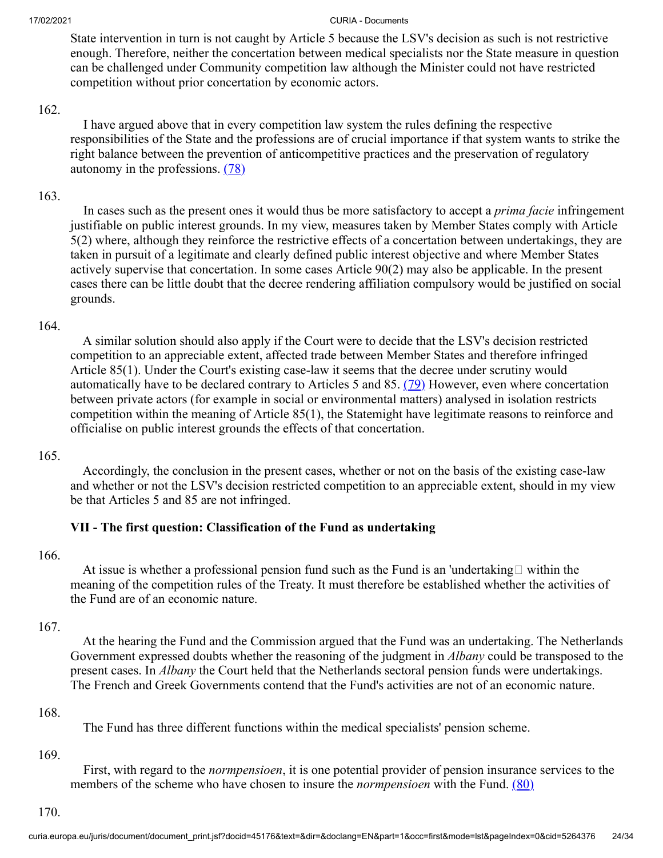State intervention in turn is not caught by Article 5 because the LSV's decision as such is not restrictive enough. Therefore, neither the concertation between medical specialists nor the State measure in question can be challenged under Community competition law although the Minister could not have restricted competition without prior concertation by economic actors.

### 162.

<span id="page-23-0"></span> I have argued above that in every competition law system the rules defining the respective responsibilities of the State and the professions are of crucial importance if that system wants to strike the right balance between the prevention of anticompetitive practices and the preservation of regulatory autonomy in the professions. [\(78\)](#page-32-6)

# 163.

 In cases such as the present ones it would thus be more satisfactory to accept a *prima facie* infringement justifiable on public interest grounds. In my view, measures taken by Member States comply with Article 5(2) where, although they reinforce the restrictive effects of a concertation between undertakings, they are taken in pursuit of a legitimate and clearly defined public interest objective and where Member States actively supervise that concertation. In some cases Article 90(2) may also be applicable. In the present cases there can be little doubt that the decree rendering affiliation compulsory would be justified on social grounds.

## 164.

<span id="page-23-1"></span> A similar solution should also apply if the Court were to decide that the LSV's decision restricted competition to an appreciable extent, affected trade between Member States and therefore infringed Article 85(1). Under the Court's existing case-law it seems that the decree under scrutiny would automatically have to be declared contrary to Articles 5 and 85. [\(79\)](#page-32-7) However, even where concertation between private actors (for example in social or environmental matters) analysed in isolation restricts competition within the meaning of Article 85(1), the Statemight have legitimate reasons to reinforce and officialise on public interest grounds the effects of that concertation.

## 165.

 Accordingly, the conclusion in the present cases, whether or not on the basis of the existing case-law and whether or not the LSV's decision restricted competition to an appreciable extent, should in my view be that Articles 5 and 85 are not infringed.

## **VII - The first question: Classification of the Fund as undertaking**

### 166.

At issue is whether a professional pension fund such as the Fund is an 'undertaking  $\Box$  within the meaning of the competition rules of the Treaty. It must therefore be established whether the activities of the Fund are of an economic nature.

## 167.

 At the hearing the Fund and the Commission argued that the Fund was an undertaking. The Netherlands Government expressed doubts whether the reasoning of the judgment in *Albany* could be transposed to the present cases. In *Albany* the Court held that the Netherlands sectoral pension funds were undertakings. The French and Greek Governments contend that the Fund's activities are not of an economic nature.

### 168.

<span id="page-23-2"></span>The Fund has three different functions within the medical specialists' pension scheme.

### 169.

 First, with regard to the *normpensioen*, it is one potential provider of pension insurance services to the members of the scheme who have chosen to insure the *normpensioen* with the Fund. [\(80\)](#page-32-8)

170.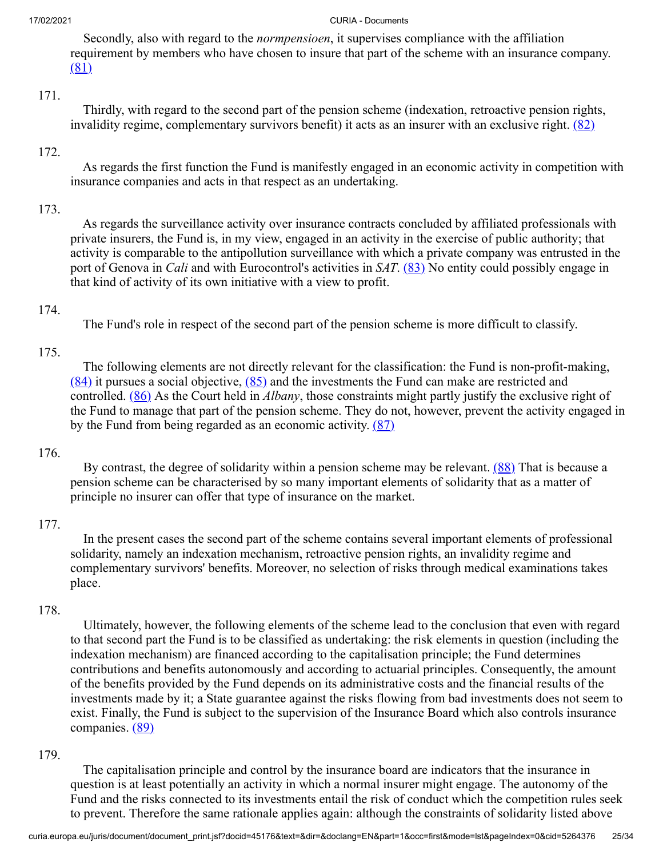<span id="page-24-0"></span> Secondly, also with regard to the *normpensioen*, it supervises compliance with the affiliation requirement by members who have chosen to insure that part of the scheme with an insurance company. [\(81\)](#page-32-9)

### 171.

<span id="page-24-1"></span> Thirdly, with regard to the second part of the pension scheme (indexation, retroactive pension rights, invalidity regime, complementary survivors benefit) it acts as an insurer with an exclusive right.  $(82)$ 

### 172.

 As regards the first function the Fund is manifestly engaged in an economic activity in competition with insurance companies and acts in that respect as an undertaking.

### 173.

 As regards the surveillance activity over insurance contracts concluded by affiliated professionals with private insurers, the Fund is, in my view, engaged in an activity in the exercise of public authority; that activity is comparable to the antipollution surveillance with which a private company was entrusted in the port of Genova in *Cali* and with Eurocontrol's activities in *SAT*. [\(83\)](#page-32-11) No entity could possibly engage in that kind of activity of its own initiative with a view to profit.

## 174.

<span id="page-24-6"></span><span id="page-24-4"></span><span id="page-24-2"></span>The Fund's role in respect of the second part of the pension scheme is more difficult to classify.

## 175.

<span id="page-24-5"></span><span id="page-24-3"></span> The following elements are not directly relevant for the classification: the Fund is non-profit-making,  $(84)$  it pursues a social objective,  $(85)$  and the investments the Fund can make are restricted and controlled. [\(86\)](#page-32-14) As the Court held in *Albany*, those constraints might partly justify the exclusive right of the Fund to manage that part of the pension scheme. They do not, however, prevent the activity engaged in by the Fund from being regarded as an economic activity.  $(87)$ 

### 176.

<span id="page-24-7"></span>By contrast, the degree of solidarity within a pension scheme may be relevant. [\(88\)](#page-32-16) That is because a pension scheme can be characterised by so many important elements of solidarity that as a matter of principle no insurer can offer that type of insurance on the market.

## 177.

 In the present cases the second part of the scheme contains several important elements of professional solidarity, namely an indexation mechanism, retroactive pension rights, an invalidity regime and complementary survivors' benefits. Moreover, no selection of risks through medical examinations takes place.

### 178.

 Ultimately, however, the following elements of the scheme lead to the conclusion that even with regard to that second part the Fund is to be classified as undertaking: the risk elements in question (including the indexation mechanism) are financed according to the capitalisation principle; the Fund determines contributions and benefits autonomously and according to actuarial principles. Consequently, the amount of the benefits provided by the Fund depends on its administrative costs and the financial results of the investments made by it; a State guarantee against the risks flowing from bad investments does not seem to exist. Finally, the Fund is subject to the supervision of the Insurance Board which also controls insurance companies. [\(89\)](#page-32-17)

### 179.

<span id="page-24-8"></span> The capitalisation principle and control by the insurance board are indicators that the insurance in question is at least potentially an activity in which a normal insurer might engage. The autonomy of the Fund and the risks connected to its investments entail the risk of conduct which the competition rules seek to prevent. Therefore the same rationale applies again: although the constraints of solidarity listed above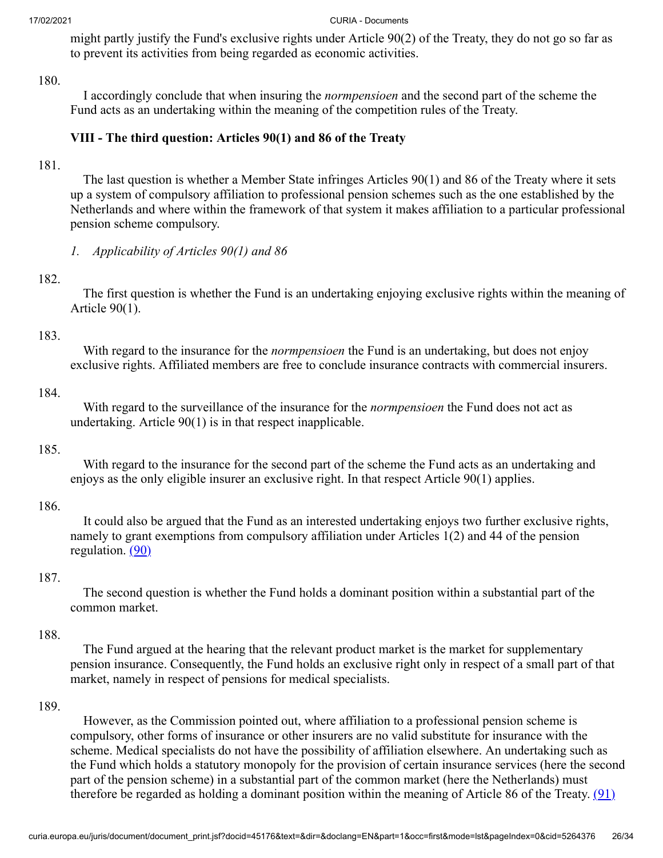might partly justify the Fund's exclusive rights under Article 90(2) of the Treaty, they do not go so far as to prevent its activities from being regarded as economic activities.

### 180.

 I accordingly conclude that when insuring the *normpensioen* and the second part of the scheme the Fund acts as an undertaking within the meaning of the competition rules of the Treaty.

# **VIII - The third question: Articles 90(1) and 86 of the Treaty**

### 181.

 The last question is whether a Member State infringes Articles 90(1) and 86 of the Treaty where it sets up a system of compulsory affiliation to professional pension schemes such as the one established by the Netherlands and where within the framework of that system it makes affiliation to a particular professional pension scheme compulsory.

*1. Applicability of Articles 90(1) and 86*

### 182.

 The first question is whether the Fund is an undertaking enjoying exclusive rights within the meaning of Article 90(1).

### 183.

 With regard to the insurance for the *normpensioen* the Fund is an undertaking, but does not enjoy exclusive rights. Affiliated members are free to conclude insurance contracts with commercial insurers.

### 184.

 With regard to the surveillance of the insurance for the *normpensioen* the Fund does not act as undertaking. Article 90(1) is in that respect inapplicable.

### 185.

 With regard to the insurance for the second part of the scheme the Fund acts as an undertaking and enjoys as the only eligible insurer an exclusive right. In that respect Article 90(1) applies.

### 186.

<span id="page-25-0"></span> It could also be argued that the Fund as an interested undertaking enjoys two further exclusive rights, namely to grant exemptions from compulsory affiliation under Articles 1(2) and 44 of the pension regulation.  $(90)$ 

### 187.

 The second question is whether the Fund holds a dominant position within a substantial part of the common market.

### 188.

 The Fund argued at the hearing that the relevant product market is the market for supplementary pension insurance. Consequently, the Fund holds an exclusive right only in respect of a small part of that market, namely in respect of pensions for medical specialists.

### 189.

<span id="page-25-1"></span> However, as the Commission pointed out, where affiliation to a professional pension scheme is compulsory, other forms of insurance or other insurers are no valid substitute for insurance with the scheme. Medical specialists do not have the possibility of affiliation elsewhere. An undertaking such as the Fund which holds a statutory monopoly for the provision of certain insurance services (here the second part of the pension scheme) in a substantial part of the common market (here the Netherlands) must therefore be regarded as holding a dominant position within the meaning of Article 86 of the Treaty.  $(91)$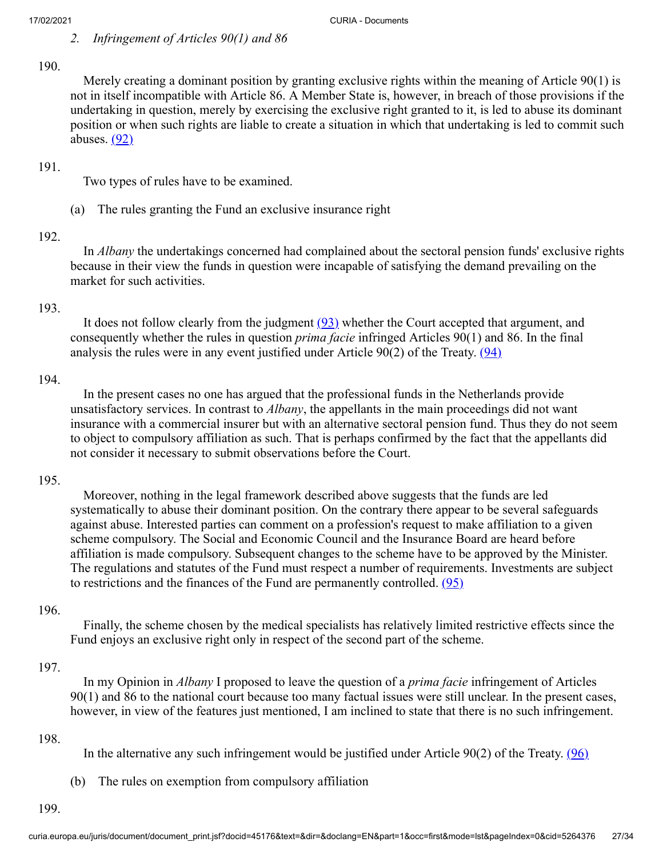## 190.

 Merely creating a dominant position by granting exclusive rights within the meaning of Article 90(1) is not in itself incompatible with Article 86. A Member State is, however, in breach of those provisions if the undertaking in question, merely by exercising the exclusive right granted to it, is led to abuse its dominant position or when such rights are liable to create a situation in which that undertaking is led to commit such abuses.  $(92)$ 

### 191.

<span id="page-26-0"></span>Two types of rules have to be examined.

(a) The rules granting the Fund an exclusive insurance right

### 192.

 In *Albany* the undertakings concerned had complained about the sectoral pension funds' exclusive rights because in their view the funds in question were incapable of satisfying the demand prevailing on the market for such activities.

### 193.

<span id="page-26-2"></span><span id="page-26-1"></span>It does not follow clearly from the judgment  $(93)$  whether the Court accepted that argument, and consequently whether the rules in question *prima facie* infringed Articles 90(1) and 86. In the final analysis the rules were in any event justified under Article  $90(2)$  of the Treaty.  $(94)$ 

### 194.

 In the present cases no one has argued that the professional funds in the Netherlands provide unsatisfactory services. In contrast to *Albany*, the appellants in the main proceedings did not want insurance with a commercial insurer but with an alternative sectoral pension fund. Thus they do not seem to object to compulsory affiliation as such. That is perhaps confirmed by the fact that the appellants did not consider it necessary to submit observations before the Court.

## 195.

 Moreover, nothing in the legal framework described above suggests that the funds are led systematically to abuse their dominant position. On the contrary there appear to be several safeguards against abuse. Interested parties can comment on a profession's request to make affiliation to a given scheme compulsory. The Social and Economic Council and the Insurance Board are heard before affiliation is made compulsory. Subsequent changes to the scheme have to be approved by the Minister. The regulations and statutes of the Fund must respect a number of requirements. Investments are subject to restrictions and the finances of the Fund are permanently controlled.  $(95)$ 

## 196.

<span id="page-26-3"></span> Finally, the scheme chosen by the medical specialists has relatively limited restrictive effects since the Fund enjoys an exclusive right only in respect of the second part of the scheme.

### 197.

 In my Opinion in *Albany* I proposed to leave the question of a *prima facie* infringement of Articles 90(1) and 86 to the national court because too many factual issues were still unclear. In the present cases, however, in view of the features just mentioned, I am inclined to state that there is no such infringement.

### 198.

<span id="page-26-4"></span>In the alternative any such infringement would be justified under Article  $90(2)$  of the Treaty. ( $96$ )

(b) The rules on exemption from compulsory affiliation

199.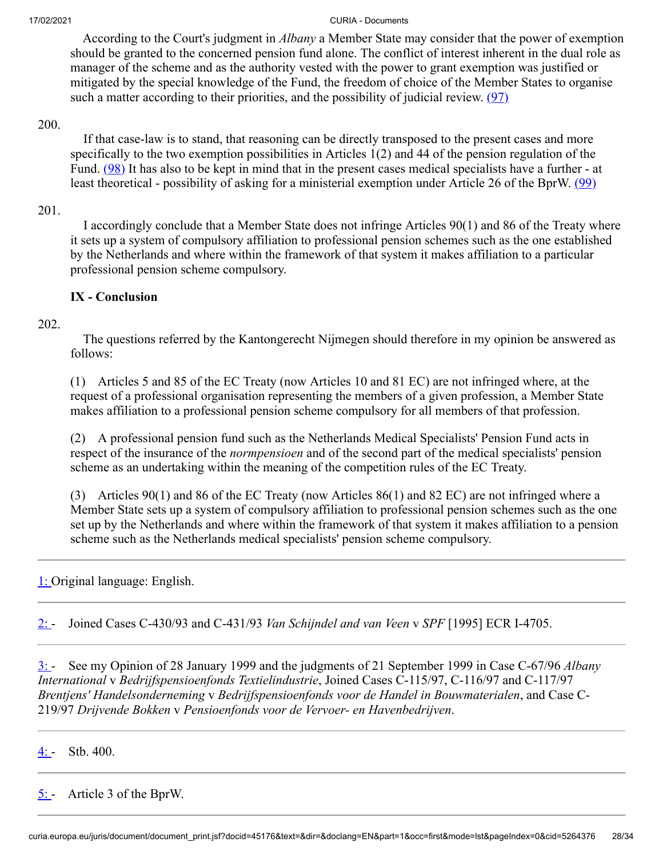According to the Court's judgment in *Albany* a Member State may consider that the power of exemption should be granted to the concerned pension fund alone. The conflict of interest inherent in the dual role as manager of the scheme and as the authority vested with the power to grant exemption was justified or mitigated by the special knowledge of the Fund, the freedom of choice of the Member States to organise such a matter according to their priorities, and the possibility of judicial review.  $(97)$ 

### 200.

<span id="page-27-7"></span><span id="page-27-6"></span><span id="page-27-5"></span> If that case-law is to stand, that reasoning can be directly transposed to the present cases and more specifically to the two exemption possibilities in Articles 1(2) and 44 of the pension regulation of the Fund. [\(98\)](#page-33-8) It has also to be kept in mind that in the present cases medical specialists have a further - at least theoretical - possibility of asking for a ministerial exemption under Article 26 of the BprW. [\(99\)](#page-33-9)

### 201.

 I accordingly conclude that a Member State does not infringe Articles 90(1) and 86 of the Treaty where it sets up a system of compulsory affiliation to professional pension schemes such as the one established by the Netherlands and where within the framework of that system it makes affiliation to a particular professional pension scheme compulsory.

# **IX - Conclusion**

# 202.

 The questions referred by the Kantongerecht Nijmegen should therefore in my opinion be answered as follows:

(1) Articles 5 and 85 of the EC Treaty (now Articles 10 and 81 EC) are not infringed where, at the request of a professional organisation representing the members of a given profession, a Member State makes affiliation to a professional pension scheme compulsory for all members of that profession.

(2) A professional pension fund such as the Netherlands Medical Specialists' Pension Fund acts in respect of the insurance of the *normpensioen* and of the second part of the medical specialists' pension scheme as an undertaking within the meaning of the competition rules of the EC Treaty.

(3) Articles 90(1) and 86 of the EC Treaty (now Articles 86(1) and 82 EC) are not infringed where a Member State sets up a system of compulsory affiliation to professional pension schemes such as the one set up by the Netherlands and where within the framework of that system it makes affiliation to a pension scheme such as the Netherlands medical specialists' pension scheme compulsory.

<span id="page-27-0"></span>[1:](#page-0-0) Original language: English.

<span id="page-27-1"></span>[2:](#page-2-0) - Joined Cases C-430/93 and C-431/93 *Van Schijndel and van Veen* v *SPF* [1995] ECR I-4705.

<span id="page-27-2"></span>[3:](#page-2-1) - See my Opinion of 28 January 1999 and the judgments of 21 September 1999 in Case C-67/96 *Albany International* v *Bedrijfspensioenfonds Textielindustrie*, Joined Cases C-115/97, C-116/97 and C-117/97 *Brentjens' Handelsonderneming* v *Bedrijfspensioenfonds voor de Handel in Bouwmaterialen*, and Case C-219/97 *Drijvende Bokken* v *Pensioenfonds voor de Vervoer- en Havenbedrijven*.

<span id="page-27-3"></span>[4:](#page-3-0)  $-$  Stb. 400.

<span id="page-27-4"></span> $5:$  - Article 3 of the BprW.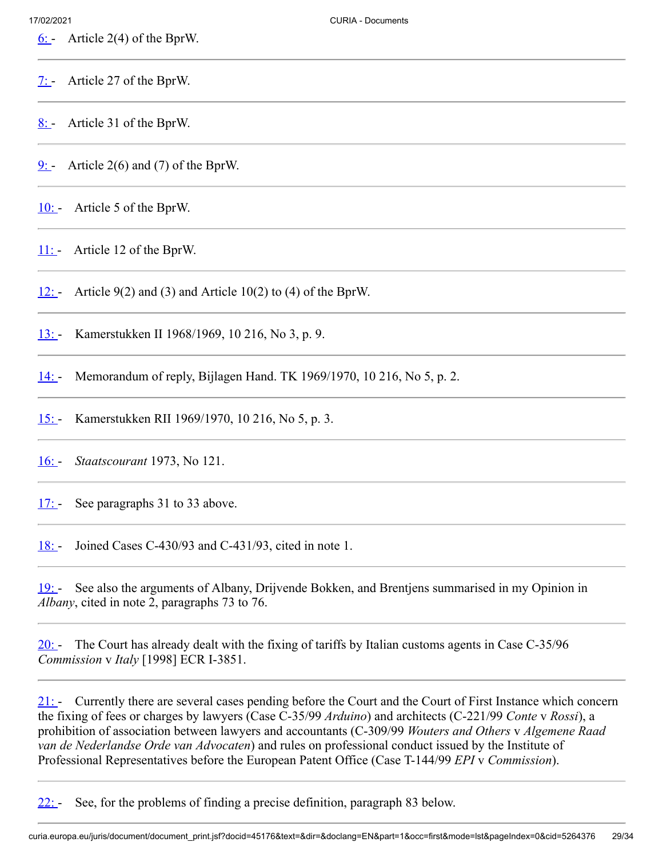<span id="page-28-0"></span>[6:](#page-4-0) - Article 2(4) of the BprW.

<span id="page-28-1"></span> $\frac{7:}{7}$  Article 27 of the BprW.

<span id="page-28-2"></span> $8:$  - Article 31 of the BprW.

<span id="page-28-3"></span> $9:$  Article 2(6) and (7) of the BprW.

<span id="page-28-4"></span>[10:](#page-4-4) Article 5 of the BprW.

<span id="page-28-5"></span>11: Article 12 of the BprW.

<span id="page-28-6"></span>[12:](#page-5-1) - Article  $9(2)$  and (3) and Article 10(2) to (4) of the BprW.

<span id="page-28-7"></span>[13:](#page-5-2) Kamerstukken II 1968/1969, 10 216, No 3, p. 9.

<span id="page-28-8"></span>[14:](#page-5-3) - Memorandum of reply, Bijlagen Hand. TK 1969/1970, 10 216, No 5, p. 2.

<span id="page-28-9"></span>[15:](#page-6-0) - Kamerstukken RII 1969/1970, 10 216, No 5, p. 3.

<span id="page-28-10"></span>[16:](#page-6-1) - *Staatscourant* 1973, No 121.

<span id="page-28-11"></span>[17:](#page-9-0) See paragraphs 31 to 33 above.

<span id="page-28-12"></span>[18:](#page-11-0) - Joined Cases C-430/93 and C-431/93, cited in note 1.

<span id="page-28-13"></span>[19:](#page-11-1) - See also the arguments of Albany, Drijvende Bokken, and Brentjens summarised in my Opinion in *Albany*, cited in note 2, paragraphs 73 to 76.

<span id="page-28-14"></span> $20:$  The Court has already dealt with the fixing of tariffs by Italian customs agents in Case C-35/96 *Commission* v *Italy* [1998] ECR I-3851.

<span id="page-28-15"></span> $21:$  Currently there are several cases pending before the Court and the Court of First Instance which concern the fixing of fees or charges by lawyers (Case C-35/99 *Arduino*) and architects (C-221/99 *Conte* v *Rossi*), a prohibition of association between lawyers and accountants (C-309/99 *Wouters and Others* v *Algemene Raad van de Nederlandse Orde van Advocaten*) and rules on professional conduct issued by the Institute of Professional Representatives before the European Patent Office (Case T-144/99 *EPI* v *Commission*).

<span id="page-28-16"></span>[22:](#page-11-4) - See, for the problems of finding a precise definition, paragraph 83 below.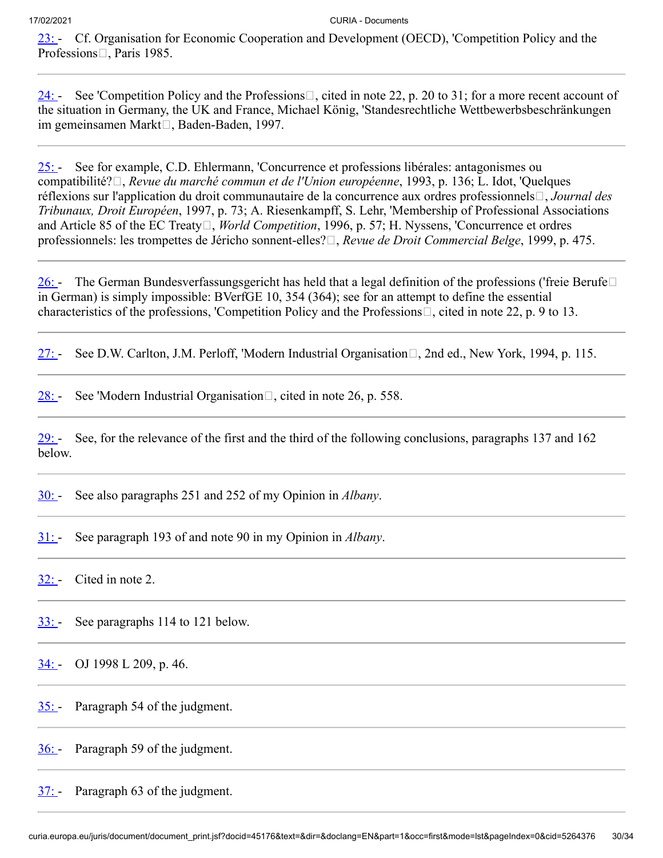<span id="page-29-0"></span>[23:](#page-12-0) - Cf. Organisation for Economic Cooperation and Development (OECD), 'Competition Policy and the Professions<sup>[1]</sup>, Paris 1985.

<span id="page-29-1"></span>[24:](#page-12-1) - See 'Competition Policy and the Professions  $\Box$ , cited in note 22, p. 20 to 31; for a more recent account of the situation in Germany, the UK and France, Michael König, 'Standesrechtliche Wettbewerbsbeschränkungen im gemeinsamen Markt□, Baden-Baden, 1997.

<span id="page-29-2"></span>[25:](#page-12-2) - See for example, C.D. Ehlermann, 'Concurrence et professions libérales: antagonismes ou compatibilité?, *Revue du marché commun et de l'Union européenne*, 1993, p. 136; L. Idot, 'Quelques réflexions sur l'application du droit communautaire de la concurrence aux ordres professionnels<sup>[1]</sup>, *Journal des Tribunaux, Droit Européen*, 1997, p. 73; A. Riesenkampff, S. Lehr, 'Membership of Professional Associations and Article 85 of the EC Treaty<sup>[1]</sup>, *World Competition*, 1996, p. 57; H. Nyssens, 'Concurrence et ordres professionnels: les trompettes de Jéricho sonnent-elles? $\Box$ , *Revue de Droit Commercial Belge*, 1999, p. 475.

<span id="page-29-3"></span>[26:](#page-13-0) - The German Bundesverfassungsgericht has held that a legal definition of the professions ('freie Berufe $\square$ in German) is simply impossible: BVerfGE 10, 354 (364); see for an attempt to define the essential characteristics of the professions, 'Competition Policy and the Professions $\Box$ , cited in note 22, p. 9 to 13.

<span id="page-29-4"></span>[27:](#page-13-1) - See D.W. Carlton, J.M. Perloff, 'Modern Industrial Organisation $\Box$ , 2nd ed., New York, 1994, p. 115.

<span id="page-29-5"></span>[28:](#page-13-2) - See 'Modern Industrial Organisation $\Box$ , cited in note 26, p. 558.

<span id="page-29-6"></span> $29:$  See, for the relevance of the first and the third of the following conclusions, paragraphs 137 and 162 below.

<span id="page-29-7"></span>[30:](#page-14-0) - See also paragraphs 251 and 252 of my Opinion in *Albany*.

<span id="page-29-8"></span>[31:](#page-14-1) - See paragraph 193 of and note 90 in my Opinion in *Albany*.

<span id="page-29-9"></span> $32:$  Cited in note 2.

<span id="page-29-10"></span>[33:](#page-14-3) - See paragraphs 114 to 121 below.

<span id="page-29-11"></span>[34:](#page-14-4) - OJ 1998 L 209, p. 46.

<span id="page-29-12"></span>[35:](#page-14-5) - Paragraph 54 of the judgment.

<span id="page-29-13"></span>[36:](#page-14-6) Paragraph 59 of the judgment.

<span id="page-29-14"></span> $37:$  Paragraph 63 of the judgment.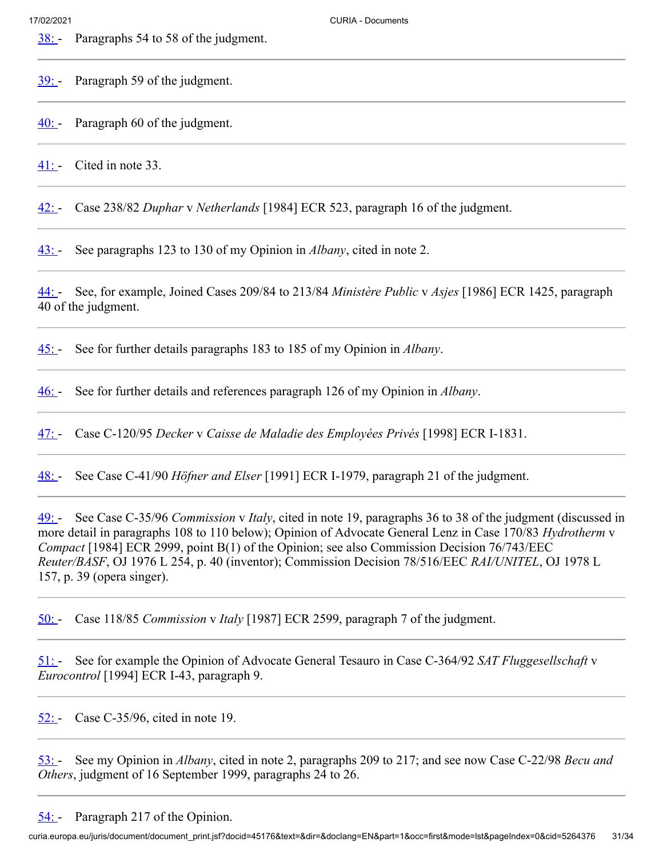<span id="page-30-0"></span>[38:](#page-15-0) Paragraphs 54 to 58 of the judgment.

<span id="page-30-1"></span>[39:](#page-15-1) Paragraph 59 of the judgment.

<span id="page-30-2"></span> $40:$  Paragraph 60 of the judgment.

<span id="page-30-3"></span>[41:](#page-15-3) - Cited in note 33.

<span id="page-30-4"></span>[42:](#page-15-4) - Case 238/82 *Duphar* v *Netherlands* [1984] ECR 523, paragraph 16 of the judgment.

<span id="page-30-5"></span>[43:](#page-15-5) - See paragraphs 123 to 130 of my Opinion in *Albany*, cited in note 2.

<span id="page-30-6"></span>[44:](#page-15-6) - See, for example, Joined Cases 209/84 to 213/84 *Ministère Public* v *Asjes* [1986] ECR 1425, paragraph 40 of the judgment.

<span id="page-30-7"></span>[45:](#page-15-7) - See for further details paragraphs 183 to 185 of my Opinion in *Albany*.

<span id="page-30-8"></span>[46:](#page-15-8) - See for further details and references paragraph 126 of my Opinion in *Albany*.

<span id="page-30-9"></span>[47:](#page-16-0) - Case C-120/95 *Decker* v *Caisse de Maladie des Employées Privés* [1998] ECR I-1831.

<span id="page-30-10"></span>[48:](#page-16-1) - See Case C-41/90 *Höfner and Elser* [1991] ECR I-1979, paragraph 21 of the judgment.

<span id="page-30-11"></span>[49:](#page-16-2) - See Case C-35/96 *Commission* v *Italy*, cited in note 19, paragraphs 36 to 38 of the judgment (discussed in more detail in paragraphs 108 to 110 below); Opinion of Advocate General Lenz in Case 170/83 *Hydrotherm* v *Compact* [1984] ECR 2999, point B(1) of the Opinion; see also Commission Decision 76/743/EEC *Reuter/BASF*, OJ 1976 L 254, p. 40 (inventor); Commission Decision 78/516/EEC *RAI/UNITEL*, OJ 1978 L 157, p. 39 (opera singer).

<span id="page-30-12"></span>[50:](#page-16-3) - Case 118/85 *Commission* v *Italy* [1987] ECR 2599, paragraph 7 of the judgment.

<span id="page-30-13"></span>[51:](#page-16-4) - See for example the Opinion of Advocate General Tesauro in Case C-364/92 *SAT Fluggesellschaft* v *Eurocontrol* [1994] ECR I-43, paragraph 9.

<span id="page-30-14"></span>[52:](#page-16-5) Case C-35/96, cited in note 19.

<span id="page-30-15"></span>[53:](#page-17-0) - See my Opinion in *Albany*, cited in note 2, paragraphs 209 to 217; and see now Case C-22/98 *Becu and Others*, judgment of 16 September 1999, paragraphs 24 to 26.

<span id="page-30-16"></span>[54:](#page-17-1) Paragraph 217 of the Opinion.

curia.europa.eu/juris/document/document\_print.jsf?docid=45176&text=&dir=&doclang=EN&part=1&occ=first&mode=lst&pageIndex=0&cid=5264376 31/34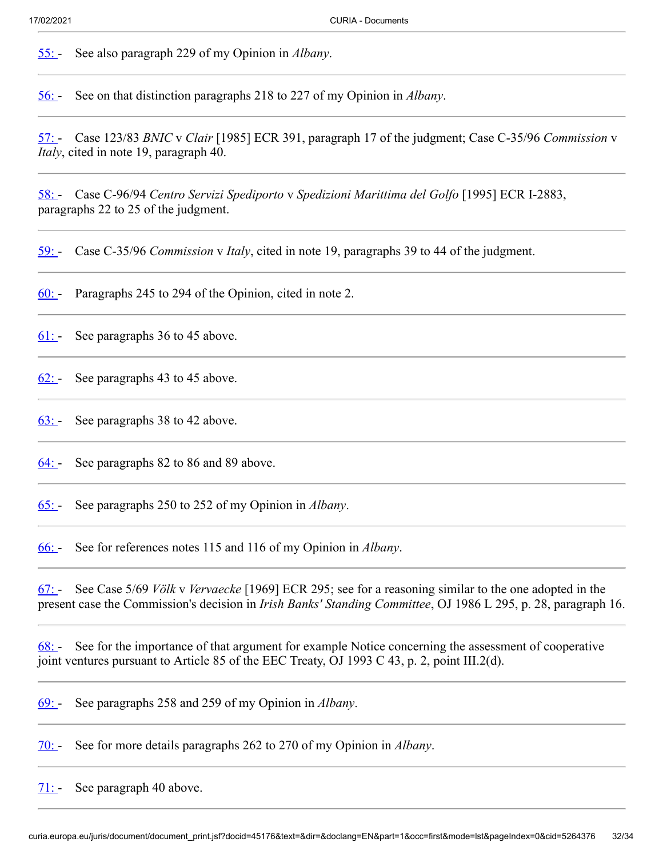<span id="page-31-0"></span>[55:](#page-17-2) - See also paragraph 229 of my Opinion in *Albany*.

<span id="page-31-1"></span>[56:](#page-18-0) - See on that distinction paragraphs 218 to 227 of my Opinion in *Albany*.

<span id="page-31-2"></span>[57:](#page-19-0) - Case 123/83 *BNIC* v *Clair* [1985] ECR 391, paragraph 17 of the judgment; Case C-35/96 *Commission* v *Italy*, cited in note 19, paragraph 40.

<span id="page-31-3"></span>[58:](#page-19-1) - Case C-96/94 *Centro Servizi Spediporto* v *Spedizioni Marittima del Golfo* [1995] ECR I-2883, paragraphs 22 to 25 of the judgment.

<span id="page-31-4"></span>[59:](#page-19-2) - Case C-35/96 *Commission* v *Italy*, cited in note 19, paragraphs 39 to 44 of the judgment.

<span id="page-31-5"></span>[60:](#page-19-3) - Paragraphs 245 to 294 of the Opinion, cited in note 2.

<span id="page-31-6"></span>[61:](#page-19-4) - See paragraphs 36 to 45 above.

<span id="page-31-7"></span> $62:$  See paragraphs 43 to 45 above.

<span id="page-31-8"></span> $63:$  See paragraphs 38 to 42 above.

<span id="page-31-9"></span> $\underline{64:}$  See paragraphs 82 to 86 and 89 above.

<span id="page-31-10"></span>[65:](#page-20-3) - See paragraphs 250 to 252 of my Opinion in *Albany*.

<span id="page-31-11"></span>[66:](#page-20-4) - See for references notes 115 and 116 of my Opinion in *Albany*.

<span id="page-31-12"></span>[67:](#page-20-5) - See Case 5/69 *Völk* v *Vervaecke* [1969] ECR 295; see for a reasoning similar to the one adopted in the present case the Commission's decision in *Irish Banks' Standing Committee*, OJ 1986 L 295, p. 28, paragraph 16.

<span id="page-31-13"></span>[68:](#page-20-6) - See for the importance of that argument for example Notice concerning the assessment of cooperative joint ventures pursuant to Article 85 of the EEC Treaty, OJ 1993 C 43, p. 2, point III.2(d).

<span id="page-31-14"></span>[69:](#page-21-0) - See paragraphs 258 and 259 of my Opinion in *Albany*.

<span id="page-31-15"></span>[70:](#page-21-1) - See for more details paragraphs 262 to 270 of my Opinion in *Albany*.

<span id="page-31-16"></span>[71:](#page-21-2) - See paragraph 40 above.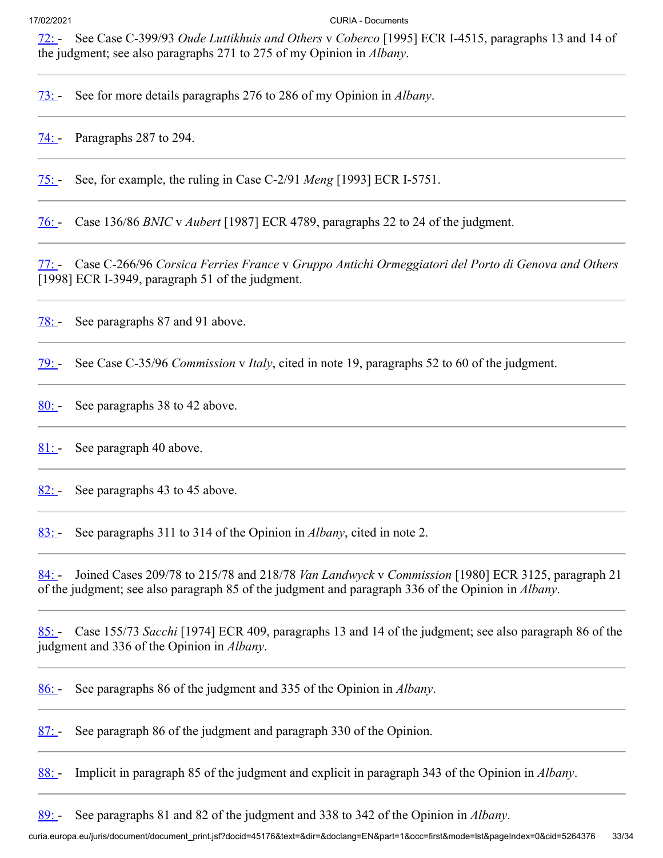<span id="page-32-0"></span>[72:](#page-21-3) - See Case C-399/93 *Oude Luttikhuis and Others* v *Coberco* [1995] ECR I-4515, paragraphs 13 and 14 of the judgment; see also paragraphs 271 to 275 of my Opinion in *Albany*.

<span id="page-32-1"></span>[73:](#page-21-4) - See for more details paragraphs 276 to 286 of my Opinion in *Albany*.

<span id="page-32-2"></span>[74:](#page-22-0) - Paragraphs 287 to 294.

<span id="page-32-3"></span>[75:](#page-22-1) - See, for example, the ruling in Case C-2/91 *Meng* [1993] ECR I-5751.

<span id="page-32-4"></span>[76:](#page-22-2) - Case 136/86 *BNIC* v *Aubert* [1987] ECR 4789, paragraphs 22 to 24 of the judgment.

<span id="page-32-5"></span>[77:](#page-22-3) - Case C-266/96 *Corsica Ferries France* v *Gruppo Antichi Ormeggiatori del Porto di Genova and Others* [1998] ECR I-3949, paragraph 51 of the judgment.

<span id="page-32-6"></span>[78:](#page-23-0) See paragraphs 87 and 91 above.

<span id="page-32-7"></span>[79:](#page-23-1) - See Case C-35/96 *Commission* v *Italy*, cited in note 19, paragraphs 52 to 60 of the judgment.

<span id="page-32-8"></span>[80:](#page-23-2) See paragraphs 38 to 42 above.

<span id="page-32-9"></span>[81:](#page-24-0) See paragraph 40 above.

<span id="page-32-10"></span> $82:$  See paragraphs 43 to 45 above.

<span id="page-32-11"></span>[83:](#page-24-2) - See paragraphs 311 to 314 of the Opinion in *Albany*, cited in note 2.

<span id="page-32-12"></span>[84:](#page-24-3) - Joined Cases 209/78 to 215/78 and 218/78 *Van Landwyck* v *Commission* [1980] ECR 3125, paragraph 21 of the judgment; see also paragraph 85 of the judgment and paragraph 336 of the Opinion in *Albany*.

<span id="page-32-13"></span>[85:](#page-24-4) - Case 155/73 *Sacchi* [1974] ECR 409, paragraphs 13 and 14 of the judgment; see also paragraph 86 of the judgment and 336 of the Opinion in *Albany*.

<span id="page-32-14"></span>[86:](#page-24-5) - See paragraphs 86 of the judgment and 335 of the Opinion in *Albany*.

<span id="page-32-15"></span>[87:](#page-24-6) See paragraph 86 of the judgment and paragraph 330 of the Opinion.

<span id="page-32-16"></span>[88:](#page-24-7) - Implicit in paragraph 85 of the judgment and explicit in paragraph 343 of the Opinion in *Albany*.

<span id="page-32-17"></span>[89:](#page-24-8) - See paragraphs 81 and 82 of the judgment and 338 to 342 of the Opinion in *Albany*.

curia.europa.eu/juris/document/document\_print.jsf?docid=45176&text=&dir=&doclang=EN&part=1&occ=first&mode=lst&pageIndex=0&cid=5264376 33/34